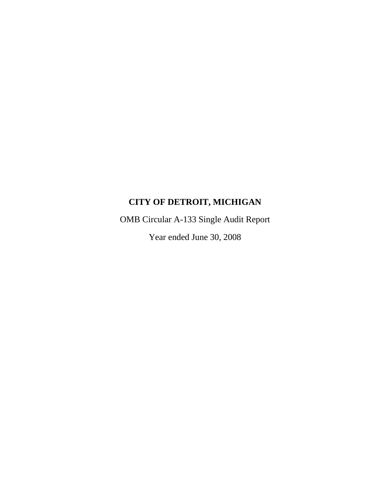OMB Circular A-133 Single Audit Report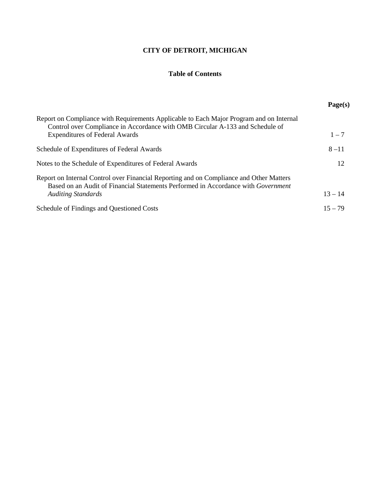# **Table of Contents**

|                                                                                                                                                                              | Page(s)   |
|------------------------------------------------------------------------------------------------------------------------------------------------------------------------------|-----------|
| Report on Compliance with Requirements Applicable to Each Major Program and on Internal<br>Control over Compliance in Accordance with OMB Circular A-133 and Schedule of     |           |
| <b>Expenditures of Federal Awards</b>                                                                                                                                        | $1 - 7$   |
| Schedule of Expenditures of Federal Awards                                                                                                                                   | $8 - 11$  |
| Notes to the Schedule of Expenditures of Federal Awards                                                                                                                      | 12        |
| Report on Internal Control over Financial Reporting and on Compliance and Other Matters<br>Based on an Audit of Financial Statements Performed in Accordance with Government |           |
| <b>Auditing Standards</b>                                                                                                                                                    | $13 - 14$ |
| Schedule of Findings and Questioned Costs                                                                                                                                    | $15 - 79$ |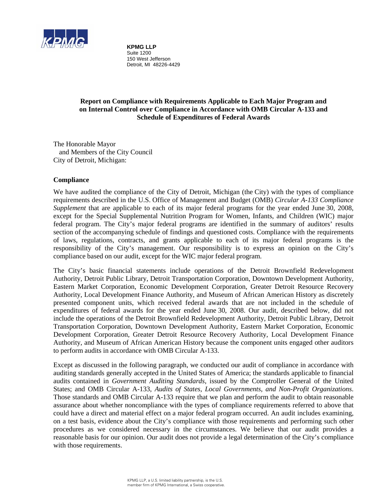

**KPMG LLP** Suite 1200 150 West Jefferson Detroit, MI 48226-4429

# **Report on Compliance with Requirements Applicable to Each Major Program and on Internal Control over Compliance in Accordance with OMB Circular A-133 and Schedule of Expenditures of Federal Awards**

The Honorable Mayor and Members of the City Council City of Detroit, Michigan:

# **Compliance**

We have audited the compliance of the City of Detroit, Michigan (the City) with the types of compliance requirements described in the U.S. Office of Management and Budget (OMB) *Circular A-133 Compliance Supplement* that are applicable to each of its major federal programs for the year ended June 30, 2008, except for the Special Supplemental Nutrition Program for Women, Infants, and Children (WIC) major federal program. The City's major federal programs are identified in the summary of auditors' results section of the accompanying schedule of findings and questioned costs. Compliance with the requirements of laws, regulations, contracts, and grants applicable to each of its major federal programs is the responsibility of the City's management. Our responsibility is to express an opinion on the City's compliance based on our audit, except for the WIC major federal program.

The City's basic financial statements include operations of the Detroit Brownfield Redevelopment Authority, Detroit Public Library, Detroit Transportation Corporation, Downtown Development Authority, Eastern Market Corporation, Economic Development Corporation, Greater Detroit Resource Recovery Authority, Local Development Finance Authority, and Museum of African American History as discretely presented component units, which received federal awards that are not included in the schedule of expenditures of federal awards for the year ended June 30, 2008. Our audit, described below, did not include the operations of the Detroit Brownfield Redevelopment Authority, Detroit Public Library, Detroit Transportation Corporation, Downtown Development Authority, Eastern Market Corporation, Economic Development Corporation, Greater Detroit Resource Recovery Authority, Local Development Finance Authority, and Museum of African American History because the component units engaged other auditors to perform audits in accordance with OMB Circular A-133.

Except as discussed in the following paragraph, we conducted our audit of compliance in accordance with auditing standards generally accepted in the United States of America; the standards applicable to financial audits contained in *Government Auditing Standards*, issued by the Comptroller General of the United States; and OMB Circular A-133, *Audits of States, Local Governments, and Non-Profit Organizations*. Those standards and OMB Circular A-133 require that we plan and perform the audit to obtain reasonable assurance about whether noncompliance with the types of compliance requirements referred to above that could have a direct and material effect on a major federal program occurred. An audit includes examining, on a test basis, evidence about the City's compliance with those requirements and performing such other procedures as we considered necessary in the circumstances. We believe that our audit provides a reasonable basis for our opinion. Our audit does not provide a legal determination of the City's compliance with those requirements.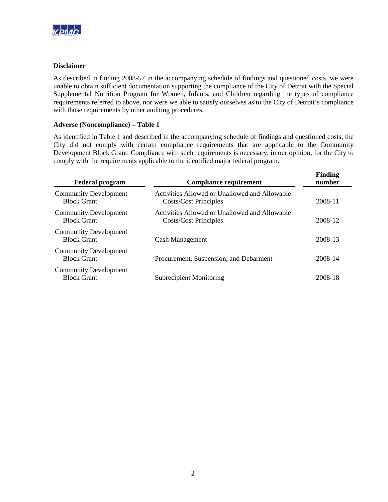

### **Disclaimer**

As described in finding 2008-57 in the accompanying schedule of findings and questioned costs, we were unable to obtain sufficient documentation supporting the compliance of the City of Detroit with the Special Supplemental Nutrition Program for Women, Infants, and Children regarding the types of compliance requirements referred to above, nor were we able to satisfy ourselves as to the City of Detroit's compliance with those requirements by other auditing procedures.

### **Adverse (Noncompliance) – Table 1**

As identified in Table 1 and described in the accompanying schedule of findings and questioned costs, the City did not comply with certain compliance requirements that are applicable to the Community Development Block Grant. Compliance with such requirements is necessary, in our opinion, for the City to comply with the requirements applicable to the identified major federal program.

| <b>Federal program</b>                             | <b>Compliance requirement</b>                                          | <b>Finding</b><br>number |
|----------------------------------------------------|------------------------------------------------------------------------|--------------------------|
| <b>Community Development</b><br><b>Block Grant</b> | Activities Allowed or Unallowed and Allowable<br>Costs/Cost Principles | 2008-11                  |
| <b>Community Development</b><br><b>Block Grant</b> | Activities Allowed or Unallowed and Allowable<br>Costs/Cost Principles | 2008-12                  |
| <b>Community Development</b><br><b>Block Grant</b> | Cash Management                                                        | 2008-13                  |
| <b>Community Development</b><br><b>Block Grant</b> | Procurement, Suspension, and Debarment                                 | 2008-14                  |
| <b>Community Development</b><br><b>Block Grant</b> | <b>Subrecipient Monitoring</b>                                         | 2008-18                  |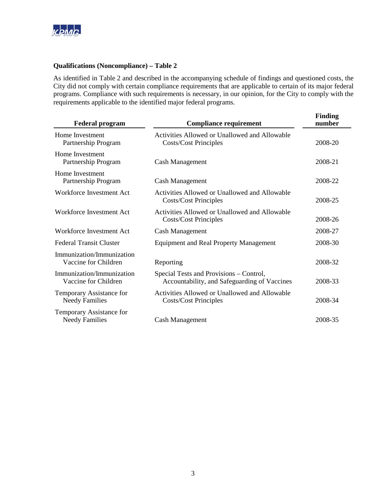

### **Qualifications (Noncompliance) – Table 2**

As identified in Table 2 and described in the accompanying schedule of findings and questioned costs, the City did not comply with certain compliance requirements that are applicable to certain of its major federal programs. Compliance with such requirements is necessary, in our opinion, for the City to comply with the requirements applicable to the identified major federal programs.

| <b>Federal program</b>                            | <b>Compliance requirement</b>                                                           | <b>Finding</b><br>number |
|---------------------------------------------------|-----------------------------------------------------------------------------------------|--------------------------|
| Home Investment<br>Partnership Program            | Activities Allowed or Unallowed and Allowable<br><b>Costs/Cost Principles</b>           | 2008-20                  |
| Home Investment<br>Partnership Program            | Cash Management                                                                         | 2008-21                  |
| Home Investment<br>Partnership Program            | <b>Cash Management</b>                                                                  | 2008-22                  |
| Workforce Investment Act                          | Activities Allowed or Unallowed and Allowable<br><b>Costs/Cost Principles</b>           | 2008-25                  |
| Workforce Investment Act                          | Activities Allowed or Unallowed and Allowable<br><b>Costs/Cost Principles</b>           | 2008-26                  |
| Workforce Investment Act                          | Cash Management                                                                         | 2008-27                  |
| <b>Federal Transit Cluster</b>                    | <b>Equipment and Real Property Management</b>                                           | 2008-30                  |
| Immunization/Immunization<br>Vaccine for Children | Reporting                                                                               | 2008-32                  |
| Immunization/Immunization<br>Vaccine for Children | Special Tests and Provisions – Control,<br>Accountability, and Safeguarding of Vaccines | 2008-33                  |
| Temporary Assistance for<br><b>Needy Families</b> | Activities Allowed or Unallowed and Allowable<br><b>Costs/Cost Principles</b>           | 2008-34                  |
| Temporary Assistance for<br><b>Needy Families</b> | <b>Cash Management</b>                                                                  | 2008-35                  |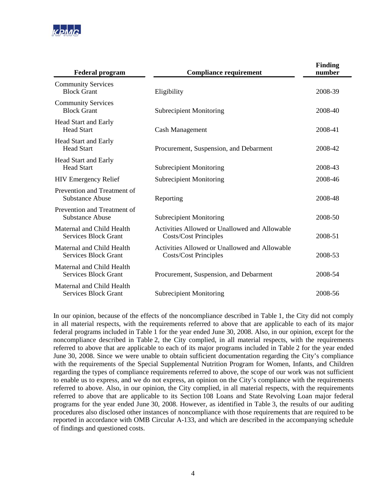

| <b>Federal program</b>                                   | <b>Compliance requirement</b>                                                 | <b>Finding</b><br>number |
|----------------------------------------------------------|-------------------------------------------------------------------------------|--------------------------|
| <b>Community Services</b><br><b>Block Grant</b>          | Eligibility                                                                   | 2008-39                  |
| <b>Community Services</b><br><b>Block Grant</b>          | <b>Subrecipient Monitoring</b>                                                | 2008-40                  |
| <b>Head Start and Early</b><br><b>Head Start</b>         | Cash Management                                                               | 2008-41                  |
| Head Start and Early<br><b>Head Start</b>                | Procurement, Suspension, and Debarment                                        | 2008-42                  |
| <b>Head Start and Early</b><br><b>Head Start</b>         | <b>Subrecipient Monitoring</b>                                                | 2008-43                  |
| <b>HIV Emergency Relief</b>                              | <b>Subrecipient Monitoring</b>                                                | 2008-46                  |
| Prevention and Treatment of<br>Substance Abuse           | Reporting                                                                     | 2008-48                  |
| Prevention and Treatment of<br><b>Substance Abuse</b>    | <b>Subrecipient Monitoring</b>                                                | 2008-50                  |
| Maternal and Child Health<br><b>Services Block Grant</b> | Activities Allowed or Unallowed and Allowable<br><b>Costs/Cost Principles</b> | 2008-51                  |
| Maternal and Child Health<br><b>Services Block Grant</b> | Activities Allowed or Unallowed and Allowable<br><b>Costs/Cost Principles</b> | 2008-53                  |
| Maternal and Child Health<br><b>Services Block Grant</b> | Procurement, Suspension, and Debarment                                        | 2008-54                  |
| Maternal and Child Health<br><b>Services Block Grant</b> | <b>Subrecipient Monitoring</b>                                                | 2008-56                  |

In our opinion, because of the effects of the noncompliance described in Table 1, the City did not comply in all material respects, with the requirements referred to above that are applicable to each of its major federal programs included in Table 1 for the year ended June 30, 2008. Also, in our opinion, except for the noncompliance described in Table 2, the City complied, in all material respects, with the requirements referred to above that are applicable to each of its major programs included in Table 2 for the year ended June 30, 2008. Since we were unable to obtain sufficient documentation regarding the City's compliance with the requirements of the Special Supplemental Nutrition Program for Women, Infants, and Children regarding the types of compliance requirements referred to above, the scope of our work was not sufficient to enable us to express, and we do not express, an opinion on the City's compliance with the requirements referred to above. Also, in our opinion, the City complied, in all material respects, with the requirements referred to above that are applicable to its Section 108 Loans and State Revolving Loan major federal programs for the year ended June 30, 2008. However, as identified in Table 3, the results of our auditing procedures also disclosed other instances of noncompliance with those requirements that are required to be reported in accordance with OMB Circular A-133, and which are described in the accompanying schedule of findings and questioned costs.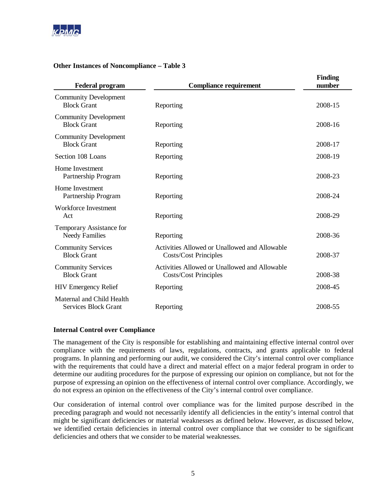

# **Other Instances of Noncompliance – Table 3**

| <b>Federal program</b>                                   | <b>Compliance requirement</b>                                                 | <b>Finding</b><br>number |
|----------------------------------------------------------|-------------------------------------------------------------------------------|--------------------------|
| <b>Community Development</b><br><b>Block Grant</b>       | Reporting                                                                     | 2008-15                  |
| <b>Community Development</b><br><b>Block Grant</b>       | Reporting                                                                     | 2008-16                  |
| <b>Community Development</b><br><b>Block Grant</b>       | Reporting                                                                     | 2008-17                  |
| Section 108 Loans                                        | Reporting                                                                     | 2008-19                  |
| Home Investment<br>Partnership Program                   | Reporting                                                                     | 2008-23                  |
| Home Investment<br>Partnership Program                   | Reporting                                                                     | 2008-24                  |
| Workforce Investment<br>Act                              | Reporting                                                                     | 2008-29                  |
| Temporary Assistance for<br><b>Needy Families</b>        | Reporting                                                                     | 2008-36                  |
| <b>Community Services</b><br><b>Block Grant</b>          | Activities Allowed or Unallowed and Allowable<br><b>Costs/Cost Principles</b> | 2008-37                  |
| <b>Community Services</b><br><b>Block Grant</b>          | Activities Allowed or Unallowed and Allowable<br><b>Costs/Cost Principles</b> | 2008-38                  |
| <b>HIV Emergency Relief</b>                              | Reporting                                                                     | 2008-45                  |
| Maternal and Child Health<br><b>Services Block Grant</b> | Reporting                                                                     | 2008-55                  |

#### **Internal Control over Compliance**

The management of the City is responsible for establishing and maintaining effective internal control over compliance with the requirements of laws, regulations, contracts, and grants applicable to federal programs. In planning and performing our audit, we considered the City's internal control over compliance with the requirements that could have a direct and material effect on a major federal program in order to determine our auditing procedures for the purpose of expressing our opinion on compliance, but not for the purpose of expressing an opinion on the effectiveness of internal control over compliance. Accordingly, we do not express an opinion on the effectiveness of the City's internal control over compliance.

Our consideration of internal control over compliance was for the limited purpose described in the preceding paragraph and would not necessarily identify all deficiencies in the entity's internal control that might be significant deficiencies or material weaknesses as defined below. However, as discussed below, we identified certain deficiencies in internal control over compliance that we consider to be significant deficiencies and others that we consider to be material weaknesses.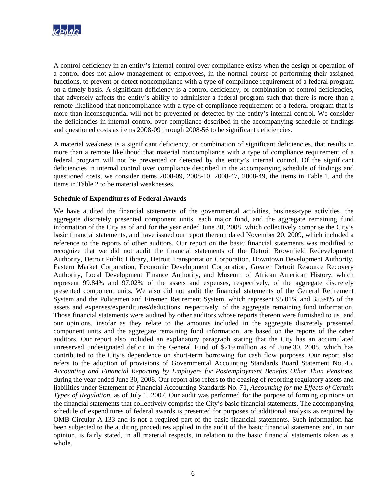

A control deficiency in an entity's internal control over compliance exists when the design or operation of a control does not allow management or employees, in the normal course of performing their assigned functions, to prevent or detect noncompliance with a type of compliance requirement of a federal program on a timely basis. A significant deficiency is a control deficiency, or combination of control deficiencies, that adversely affects the entity's ability to administer a federal program such that there is more than a remote likelihood that noncompliance with a type of compliance requirement of a federal program that is more than inconsequential will not be prevented or detected by the entity's internal control. We consider the deficiencies in internal control over compliance described in the accompanying schedule of findings and questioned costs as items 2008-09 through 2008-56 to be significant deficiencies.

A material weakness is a significant deficiency, or combination of significant deficiencies, that results in more than a remote likelihood that material noncompliance with a type of compliance requirement of a federal program will not be prevented or detected by the entity's internal control. Of the significant deficiencies in internal control over compliance described in the accompanying schedule of findings and questioned costs, we consider items 2008-09, 2008-10, 2008-47, 2008-49, the items in Table 1, and the items in Table 2 to be material weaknesses.

# **Schedule of Expenditures of Federal Awards**

We have audited the financial statements of the governmental activities, business-type activities, the aggregate discretely presented component units, each major fund, and the aggregate remaining fund information of the City as of and for the year ended June 30, 2008, which collectively comprise the City's basic financial statements, and have issued our report thereon dated November 20, 2009, which included a reference to the reports of other auditors. Our report on the basic financial statements was modified to recognize that we did not audit the financial statements of the Detroit Brownfield Redevelopment Authority, Detroit Public Library, Detroit Transportation Corporation, Downtown Development Authority, Eastern Market Corporation, Economic Development Corporation, Greater Detroit Resource Recovery Authority, Local Development Finance Authority, and Museum of African American History, which represent 99.84% and 97.02% of the assets and expenses, respectively, of the aggregate discretely presented component units. We also did not audit the financial statements of the General Retirement System and the Policemen and Firemen Retirement System, which represent 95.01% and 35.94% of the assets and expenses/expenditures/deductions, respectively, of the aggregate remaining fund information. Those financial statements were audited by other auditors whose reports thereon were furnished to us, and our opinions, insofar as they relate to the amounts included in the aggregate discretely presented component units and the aggregate remaining fund information, are based on the reports of the other auditors. Our report also included an explanatory paragraph stating that the City has an accumulated unreserved undesignated deficit in the General Fund of \$219 million as of June 30, 2008, which has contributed to the City's dependence on short-term borrowing for cash flow purposes. Our report also refers to the adoption of provisions of Governmental Accounting Standards Board Statement No. 45, *Accounting and Financial Reporting by Employers for Postemployment Benefits Other Than Pensions*, during the year ended June 30, 2008. Our report also refers to the ceasing of reporting regulatory assets and liabilities under Statement of Financial Accounting Standards No. 71, *Accounting for the Effects of Certain Types of Regulation*, as of July 1, 2007. Our audit was performed for the purpose of forming opinions on the financial statements that collectively comprise the City's basic financial statements. The accompanying schedule of expenditures of federal awards is presented for purposes of additional analysis as required by OMB Circular A-133 and is not a required part of the basic financial statements. Such information has been subjected to the auditing procedures applied in the audit of the basic financial statements and, in our opinion, is fairly stated, in all material respects, in relation to the basic financial statements taken as a whole.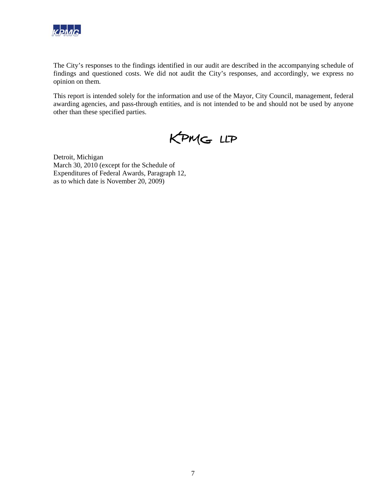

The City's responses to the findings identified in our audit are described in the accompanying schedule of findings and questioned costs. We did not audit the City's responses, and accordingly, we express no opinion on them.

This report is intended solely for the information and use of the Mayor, City Council, management, federal awarding agencies, and pass-through entities, and is not intended to be and should not be used by anyone other than these specified parties.

KPMG LLP

Detroit, Michigan March 30, 2010 (except for the Schedule of Expenditures of Federal Awards, Paragraph 12, as to which date is November 20, 2009)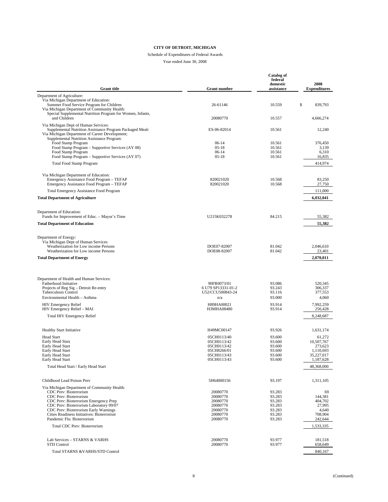# Schedule of Expenditures of Federal Awards

| <b>Grant title</b>                                                                                                                                                                               | <b>Grant number</b>                      | <b>Catalog of</b><br>federal<br>domestic<br>assistance | 2008<br><b>Expenditures</b>         |
|--------------------------------------------------------------------------------------------------------------------------------------------------------------------------------------------------|------------------------------------------|--------------------------------------------------------|-------------------------------------|
| Department of Agriculture:                                                                                                                                                                       |                                          |                                                        |                                     |
| Via Michigan Department of Education:<br>Summer Food Service Program for Children<br>Via Michigan Department of Community Health:                                                                | 26-61146                                 | 10.559                                                 | \$<br>839,793                       |
| Special Supplemental Nutrition Program for Women, Infants,<br>and Children                                                                                                                       | 20080770                                 | 10.557                                                 | 4,666,274                           |
| Via Michigan Dept of Human Services:<br>Supplemental Nutrition Assistance Program Packaged Meals<br>Via Michigan Department of Career Development:<br>Supplemental Nutrition Assistance Program: | ES-06-82014                              | 10.561                                                 | 12,240                              |
| Food Stamp Program<br>Food Stamp Program - Supportive Services (AY 08)<br>Food Stamp Program<br>Food Stamp Program - Supportive Services (AY 07)                                                 | $06-14$<br>$05-18$<br>$06-14$<br>$05-18$ | 10.561<br>10.561<br>10.561<br>10.561                   | 376,450<br>3,139<br>6,310<br>16,835 |
| <b>Total Food Stamp Program</b>                                                                                                                                                                  |                                          |                                                        | 414,974                             |
|                                                                                                                                                                                                  |                                          |                                                        |                                     |
| Via Michigan Department of Education:<br>Emergency Assistance Food Program - TEFAP<br>Emergency Assistance Food Program - TEFAP                                                                  | 820021020<br>820021020                   | 10.568<br>10.568                                       | 83,250<br>27,750                    |
| <b>Total Emergency Assistance Food Program</b>                                                                                                                                                   |                                          |                                                        | 111,000                             |
| <b>Total Department of Agriculture</b>                                                                                                                                                           |                                          |                                                        | 6,032,041                           |
| Department of Education:<br>Funds for Improvement of Educ. - Mayor's Time                                                                                                                        | U215K032278                              | 84.215                                                 | 55,382                              |
| <b>Total Department of Education</b>                                                                                                                                                             |                                          |                                                        | 55,382                              |
|                                                                                                                                                                                                  |                                          |                                                        |                                     |
| Department of Energy:<br>Via Michigan Dept of Human Services                                                                                                                                     |                                          |                                                        |                                     |
| Weatherization for Low income Persons                                                                                                                                                            | DOE07-82007                              | 81.042                                                 | 2,046,610                           |
| Weatherization for Low income Persons                                                                                                                                                            | DOE08-82007                              | 81.042                                                 | 23,401                              |
| <b>Total Department of Energy</b>                                                                                                                                                                |                                          |                                                        | 2,070,011                           |
| Department of Health and Human Services:                                                                                                                                                         |                                          |                                                        |                                     |
| Fatherhood Initiative<br>Projects of Reg Sig – Detroit Re-entry                                                                                                                                  | 90FR0073/01<br>6 U79 SP13331-01-2        | 93.086<br>93.243                                       | 520,345<br>306,337                  |
| <b>Tuberculosis Control</b>                                                                                                                                                                      | U52/CCU500843-24                         | 93.116                                                 | 377,553                             |
| Environmental Health - Asthma                                                                                                                                                                    | n/a                                      | 93.000                                                 | 4,060                               |
| <b>HIV Emergency Relief</b><br>HIV Emergency Relief - MAI                                                                                                                                        | H89HA00021<br><b>H3MHA08480</b>          | 93.914<br>93.914                                       | 7,992,259<br>256,428                |
| <b>Total HIV Emergency Relief</b>                                                                                                                                                                |                                          |                                                        | 8,248,687                           |
| <b>Healthy Start Initiative</b>                                                                                                                                                                  | H49MC00147                               | 93.926                                                 | 1,631,174                           |
| <b>Head Start</b>                                                                                                                                                                                | 05CH0113/40                              | 93.600                                                 | 61,272                              |
| Early Head Start<br>Early Head Start                                                                                                                                                             | 05CH0113/42<br>05CH0113/42               | 93.600<br>93.600                                       | 10,507,767<br>273.623               |
| Early Head Start                                                                                                                                                                                 | 05CH8266/01                              | 93.600                                                 | 1,110,693                           |
| Early Head Start<br>Early Head Start                                                                                                                                                             | 05CH0113/43<br>05CH0113/43               | 93.600<br>93.600                                       | 35,227,017<br>1,187,628             |
| Total Head Start / Early Head Start                                                                                                                                                              |                                          |                                                        | 48,368,000                          |
| Childhood Lead Poison Prev                                                                                                                                                                       | 5H64000156                               | 93.197                                                 | 1,311,105                           |
| Via Michigan Department of Community Health:                                                                                                                                                     |                                          |                                                        |                                     |
| CDC Prev: Bioterrorism                                                                                                                                                                           | 20080770                                 | 93.283                                                 | 69                                  |
| CDC Prev: Bioterrorism<br>CDC Prev: Bioterrorism Emergency Prep                                                                                                                                  | 20080770<br>20080770                     | 93.283<br>93.283                                       | 144,381<br>404,702                  |
| CDC Prev: Bioterrorism Laboratory 09/07                                                                                                                                                          | 20080770                                 | 93.283                                                 | 27,995                              |
| CDC Prev: Bioterrorism Early Warnings                                                                                                                                                            | 20080770                                 | 93.283                                                 | 4,640                               |
| Cities Readiness Initiatives: Bioterrorism<br>Pandemic Flu: Bioterrorism                                                                                                                         | 20080770<br>20080770                     | 93.283<br>93.283                                       | 708,904<br>242,644                  |
| <b>Total CDC Prev: Bioterrorism</b>                                                                                                                                                              |                                          |                                                        | 1,533,335                           |
|                                                                                                                                                                                                  |                                          |                                                        |                                     |
| Lab Services - STARNS & VARHS<br>STD Control                                                                                                                                                     | 20080770<br>20080770                     | 93.977<br>93.977                                       | 181,518<br>658,649                  |
| Total STARNS & VARHS/STD Control                                                                                                                                                                 |                                          |                                                        | 840,167                             |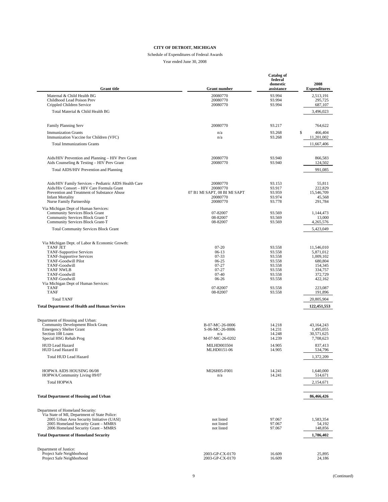# Schedule of Expenditures of Federal Awards

| <b>Grant</b> title                                                                                                                                                                                                                                           | <b>Grant number</b>                                                                        | <b>Catalog of</b><br>federal<br>domestic<br>assistance                       | 2008<br><b>Expenditures</b>                                                                 |
|--------------------------------------------------------------------------------------------------------------------------------------------------------------------------------------------------------------------------------------------------------------|--------------------------------------------------------------------------------------------|------------------------------------------------------------------------------|---------------------------------------------------------------------------------------------|
| Maternal & Child Health BG<br>Childhood Lead Poison Prev<br>Crippled Children Service                                                                                                                                                                        | 20080770<br>20080770<br>20080770                                                           | 93.994<br>93.994<br>93.994                                                   | 2,513,191<br>295,725<br>687,107                                                             |
| Total Material & Child Health BG                                                                                                                                                                                                                             |                                                                                            |                                                                              | 3,496,023                                                                                   |
| Family Planning Serv                                                                                                                                                                                                                                         | 20080770                                                                                   | 93.217                                                                       | 764,622                                                                                     |
| <b>Immunization Grants</b><br>Immunization Vaccine for Children (VFC)                                                                                                                                                                                        | n/a<br>n/a                                                                                 | 93.268<br>93.268                                                             | \$<br>466,404<br>11,201,002                                                                 |
| <b>Total Immunizations Grants</b>                                                                                                                                                                                                                            |                                                                                            |                                                                              | 11,667,406                                                                                  |
| Aids/HIV Prevention and Planning - HIV Prev Grant<br>Aids Counseling & Testing - HIV Prev Grant                                                                                                                                                              | 20080770<br>20080770                                                                       | 93.940<br>93.940                                                             | 866,583<br>124,502                                                                          |
| Total AIDS/HIV Prevention and Planning                                                                                                                                                                                                                       |                                                                                            |                                                                              | 991,085                                                                                     |
| Aids/HIV Family Services - Pediatric AIDS Health Care<br>Aids/Hiv Consort - HIV Care Formula Grant<br>Prevention and Treatment of Substance Abuse<br><b>Infant Mortality</b><br>Nurse Family Partnership                                                     | 20080770<br>20080770<br>07 B1 MI SAPT, 08 BI MI SAPT<br>20080770<br>20080770               | 93.153<br>93.917<br>93.959<br>93.974<br>93.778                               | 55,811<br>222,829<br>15,546,709<br>45,568<br>291,784                                        |
| Via Michigan Dept of Human Services:<br><b>Community Services Block Grant</b><br>Community Services Block Grant-T<br>Community Services Block Grant-T                                                                                                        | 07-82007<br>08-82007<br>08-82007                                                           | 93.569<br>93.569<br>93.569                                                   | 1,144,473<br>13,000<br>4,265,576                                                            |
| <b>Total Community Services Block Grant</b>                                                                                                                                                                                                                  |                                                                                            |                                                                              | 5,423,049                                                                                   |
| Via Michigan Dept. of Labor & Economic Growth:<br><b>TANF JET</b><br><b>TANF-Supportive Services</b><br><b>TANF-Supportive Services</b><br><b>TANF-Goodwill Pilot</b><br>TANF-Goodwill<br><b>TANF NWLB</b><br>TANF-Goodwill<br>TANF-Goodwill                 | $07-20$<br>$06-13$<br>$07 - 33$<br>06-25<br>$07 - 27$<br>$07 - 27$<br>$07 - 40$<br>06-26   | 93.558<br>93.558<br>93.558<br>93.558<br>93.558<br>93.558<br>93.558<br>93.558 | 11,546,010<br>5,871,012<br>1,009,102<br>680,804<br>154,345<br>334,757<br>372,729<br>422,162 |
| Via Michigan Dept of Human Services:<br><b>TANF</b><br><b>TANF</b>                                                                                                                                                                                           | 07-82007<br>08-82007                                                                       | 93.558<br>93.558                                                             | 223,087<br>191,896                                                                          |
| <b>Total TANF</b>                                                                                                                                                                                                                                            |                                                                                            |                                                                              | 20,805,904                                                                                  |
| <b>Total Department of Health and Human Services</b>                                                                                                                                                                                                         |                                                                                            |                                                                              | 122,451,553                                                                                 |
| Department of Housing and Urban:<br><b>Community Development Block Grant</b><br><b>Emergency Shelter Grant</b><br>Section 108 Loans<br>Special HSG Rehab Prog<br><b>HUD Lead Hazard</b><br>HUD Lead Hazard II                                                | B-07-MC-26-0006<br>S-06-MC-26-0006<br>n/a<br>M-07-MC-26-0202<br>MILHD003504<br>MLHD0151-06 | 14.218<br>14.231<br>14.248<br>14.239<br>14.905<br>14.905                     | 43,164,243<br>1.495.055<br>30,571,625<br>7,708,623<br>837,413<br>534,796                    |
| <b>Total HUD Lead Hazard</b>                                                                                                                                                                                                                                 |                                                                                            |                                                                              | 1,372,209                                                                                   |
| HOPWA AIDS HOUSING 06/08<br>HOPWA/Community Living 09/07<br><b>Total HOPWA</b>                                                                                                                                                                               | MI26H05-F001<br>n/a                                                                        | 14.241<br>14.241                                                             | 1,640,000<br>514,671<br>2,154,671                                                           |
| <b>Total Department of Housing and Urban</b>                                                                                                                                                                                                                 |                                                                                            |                                                                              | 86,466,426                                                                                  |
|                                                                                                                                                                                                                                                              |                                                                                            |                                                                              |                                                                                             |
| Department of Homeland Security:<br>Via State of MI, Department of State Police:<br>2005 Urban Area Security Initiative (UASI)<br>2005 Homeland Security Grant - MMRS<br>2006 Homeland Security Grant - MMRS<br><b>Total Department of Homeland Security</b> | not listed<br>not listed<br>not listed                                                     | 97.067<br>97.067<br>97.067                                                   | 1,583,354<br>54,192<br>148,856<br>1,786,402                                                 |
|                                                                                                                                                                                                                                                              |                                                                                            |                                                                              |                                                                                             |
| Department of Justice:<br>Project Safe Neighborhood<br>Project Safe Neighborhood                                                                                                                                                                             | 2003-GP-CX-0170<br>2003-GP-CX-0170                                                         | 16.609<br>16.609                                                             | 25,895<br>24,186                                                                            |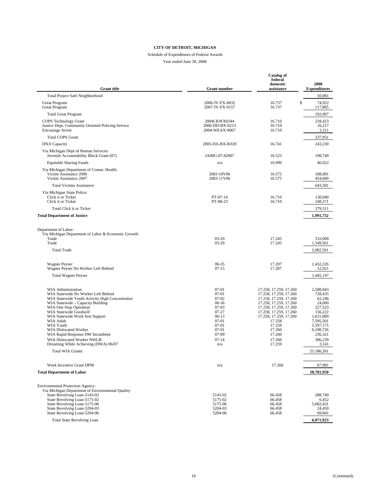# Schedule of Expenditures of Federal Awards

| <b>Grant</b> title                                                                                                                                                                                                                                                                                                                                                                                                         | <b>Grant number</b>                                                                                                                     | <b>Catalog of</b><br>federal<br>domestic<br>assistance                                                                                                                                                                                         | 2008<br><b>Expenditures</b>                                                                                                                       |
|----------------------------------------------------------------------------------------------------------------------------------------------------------------------------------------------------------------------------------------------------------------------------------------------------------------------------------------------------------------------------------------------------------------------------|-----------------------------------------------------------------------------------------------------------------------------------------|------------------------------------------------------------------------------------------------------------------------------------------------------------------------------------------------------------------------------------------------|---------------------------------------------------------------------------------------------------------------------------------------------------|
| <b>Total Project Safe Neighborhood</b>                                                                                                                                                                                                                                                                                                                                                                                     |                                                                                                                                         |                                                                                                                                                                                                                                                | 50,081                                                                                                                                            |
| Great Program<br><b>Great Program</b>                                                                                                                                                                                                                                                                                                                                                                                      | 2006-JV-FX-0032<br>2007-JV-FX-0157                                                                                                      | \$<br>16.737<br>16.737                                                                                                                                                                                                                         | 74,922<br>117,885                                                                                                                                 |
| <b>Total Great Program</b>                                                                                                                                                                                                                                                                                                                                                                                                 |                                                                                                                                         |                                                                                                                                                                                                                                                | 192,807                                                                                                                                           |
| <b>COPS Technology Grant</b><br>Justice Dept. Community Oriented Policing Service<br><b>Encourage Arrest</b>                                                                                                                                                                                                                                                                                                               | 2004CKWX0344<br>2006-DD-BX-0213<br>2004-WEAX-0067                                                                                       | 16.710<br>16.710<br>16.710                                                                                                                                                                                                                     | 218,423<br>16,217<br>3,311                                                                                                                        |
| <b>Total COPS Grant</b>                                                                                                                                                                                                                                                                                                                                                                                                    |                                                                                                                                         |                                                                                                                                                                                                                                                | 237,951                                                                                                                                           |
| <b>DNA</b> Capacity                                                                                                                                                                                                                                                                                                                                                                                                        | 2005-DA-BX-K020                                                                                                                         | 16.741                                                                                                                                                                                                                                         | 243,230                                                                                                                                           |
| Via Michigan Dept of Human Services:<br>Juvenile Accountability Block Grant (07)                                                                                                                                                                                                                                                                                                                                           | JAIBG-07-82007                                                                                                                          | 16.523                                                                                                                                                                                                                                         | 198,749                                                                                                                                           |
| <b>Equitable Sharing Funds</b>                                                                                                                                                                                                                                                                                                                                                                                             | n/a                                                                                                                                     | 16.999                                                                                                                                                                                                                                         | 46,022                                                                                                                                            |
| Via Michigan Department of Comm. Health:<br>Victim Assistance 2006<br>Victim Assistance 2007                                                                                                                                                                                                                                                                                                                               | 2083-10V06<br>2083-11V06                                                                                                                | 16.575<br>16.575                                                                                                                                                                                                                               | 188,981<br>454,600                                                                                                                                |
| <b>Total Victims Assistance</b>                                                                                                                                                                                                                                                                                                                                                                                            |                                                                                                                                         |                                                                                                                                                                                                                                                | 643,581                                                                                                                                           |
| Via Michigan State Police:<br>Click it or Ticket<br>Click it or Ticket                                                                                                                                                                                                                                                                                                                                                     | PT-07-14<br>PT-08-23                                                                                                                    | 16.710<br>16.710                                                                                                                                                                                                                               | 130,940<br>248,371                                                                                                                                |
| Total Click it or Ticket                                                                                                                                                                                                                                                                                                                                                                                                   |                                                                                                                                         |                                                                                                                                                                                                                                                | 379,311                                                                                                                                           |
| <b>Total Department of Justice</b>                                                                                                                                                                                                                                                                                                                                                                                         |                                                                                                                                         |                                                                                                                                                                                                                                                | 1,991,732                                                                                                                                         |
| Department of Labor:<br>Via Michigan Department of Labor & Economic Growth:<br>Trade<br>Trade                                                                                                                                                                                                                                                                                                                              | 03-29<br>03-29                                                                                                                          | 17.245<br>17.245                                                                                                                                                                                                                               | 533,000<br>1,549,561                                                                                                                              |
| <b>Total Trade</b>                                                                                                                                                                                                                                                                                                                                                                                                         |                                                                                                                                         |                                                                                                                                                                                                                                                | 2,082,561                                                                                                                                         |
| <b>Wagner Peyser</b><br>Wagner Peyser No Worker Left Behind                                                                                                                                                                                                                                                                                                                                                                | 06-35<br>$07-15$                                                                                                                        | 17.207<br>17.207                                                                                                                                                                                                                               | 1,432,226<br>12,921                                                                                                                               |
| <b>Total Wagner Peyser</b>                                                                                                                                                                                                                                                                                                                                                                                                 |                                                                                                                                         |                                                                                                                                                                                                                                                | 1,445,147                                                                                                                                         |
| WIA Administration<br>WIA Statewide No Worker Left Behind<br>WIA Statewide Youth Activity High Concentration<br>WIA Statewide - Capacity Building<br>WIA One Stop Operation<br>WIA Statewide Goodwill<br>WIA Statewide Work first Support<br><b>WIA Adult</b><br><b>WIA Youth</b><br><b>WIA Dislocated Worker</b><br>WIA Rapid Response DW Incumbent<br>WIA Dislocated Worker NWLB<br>Dreaming While Achieving (DWA) 06/07 | $07-01$<br>$07-01$<br>$07-02$<br>06-36<br>$07-03$<br>$07 - 27$<br>$06-13$<br>$07-01$<br>07-01<br>$07-01$<br>$07-09$<br>$07 - 14$<br>n/a | 17.258, 17.259, 17.260<br>17.258, 17.259, 17.260<br>17.258, 17.259, 17.260<br>17.258, 17.259, 17.260<br>17.258, 17.259, 17.260<br>17.258, 17.259, 17.260<br>17.258, 17.259, 17.260<br>17.258<br>17.259<br>17.260<br>17.260<br>17.260<br>17.259 | 2,508,843<br>728,435<br>62,246<br>24,000<br>227,523<br>156,222<br>1,631,889<br>7,595,501<br>5,597,175<br>6,108,726<br>236,321<br>306,239<br>3,141 |
| <b>Total WIA Grants</b>                                                                                                                                                                                                                                                                                                                                                                                                    |                                                                                                                                         |                                                                                                                                                                                                                                                | 25,186,261                                                                                                                                        |
|                                                                                                                                                                                                                                                                                                                                                                                                                            |                                                                                                                                         |                                                                                                                                                                                                                                                |                                                                                                                                                   |
| Work Incentive Grant DPM                                                                                                                                                                                                                                                                                                                                                                                                   | n/a                                                                                                                                     | 17.266                                                                                                                                                                                                                                         | 67,981                                                                                                                                            |
| <b>Total Department of Labor</b>                                                                                                                                                                                                                                                                                                                                                                                           |                                                                                                                                         |                                                                                                                                                                                                                                                | 28,781,950                                                                                                                                        |
| Environmental Protection Agency:<br>Via Michigan Department of Environmental Quality:<br>State Revolving Loan-5143-02<br>State Revolving Loan-5175-02<br>State Revolving Loan-5175-06<br>State Revolving Loan-5204-03<br>State Revolving Loan-5204-06                                                                                                                                                                      | 5143-02<br>5175-02<br>5175-06<br>5204-03<br>5204-06                                                                                     | 66.458<br>66.458<br>66.458<br>66.458<br>66.458                                                                                                                                                                                                 | 288,749<br>6,452<br>5,682,431<br>24,450<br>69,841                                                                                                 |
| <b>Total State Revolving Loan</b>                                                                                                                                                                                                                                                                                                                                                                                          |                                                                                                                                         |                                                                                                                                                                                                                                                | 6,071,923                                                                                                                                         |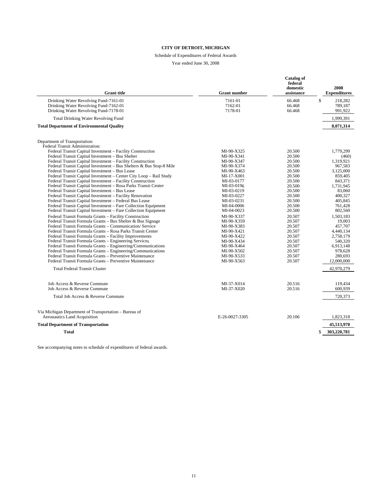#### Schedule of Expenditures of Federal Awards

Year ended June 30, 2008

| <b>Grant</b> title                                                                                                      | <b>Grant number</b>           | Catalog of<br>federal<br>domestic<br>assistance | 2008<br><b>Expenditures</b>         |
|-------------------------------------------------------------------------------------------------------------------------|-------------------------------|-------------------------------------------------|-------------------------------------|
| Drinking Water Revolving Fund-7161-01<br>Drinking Water Revolving Fund-7162-01<br>Drinking Water Revolving Fund-7178-01 | 7161-01<br>7162-01<br>7178-01 | 66.468<br>66.468<br>66.468                      | \$<br>218,282<br>789,187<br>991,922 |
| <b>Total Drinking Water Revolving Fund</b>                                                                              |                               |                                                 | 1,999,391                           |
| <b>Total Department of Environmental Quality</b>                                                                        |                               |                                                 | 8,071,314                           |
| Department of Transportation:<br>Federal Transit Administration:                                                        |                               |                                                 |                                     |
| Federal Transit Capital Investment - Facility Construction                                                              | MI-90-X325                    | 20.500                                          | 1.779.299                           |
| Federal Transit Capital Investment - Bus Shelter<br>Federal Transit Capital Investment - Facility Construction          | MI-90-X341<br>MI-90-X347      | 20.500<br>20.500                                | (460)<br>1,319,921                  |
| Federal Transit Capital Investment - Bus Shelters & Bus Stop-8 Mile                                                     | MI-90-X374                    | 20.500                                          | 967,583                             |
| Federal Transit Capital Investment - Bus Lease                                                                          | MI-90-X463                    | 20.500                                          | 3,125,000                           |
| Federal Transit Capital Investment - Center City Loop - Rail Study                                                      | MI-17-X001                    | 20.500                                          | 859,405                             |
| Federal Transit Capital Investment - Facility Construction                                                              | MI-03-0177                    | 20.500                                          | 843,371                             |
| Federal Transit Capital Investment - Rosa Parks Transit Center                                                          | MI-03-0196                    | 20.500                                          | 1,731,945                           |
| Federal Transit Capital Investment - Bus Lease                                                                          | MI-03-0219                    | 20.500                                          | 83,060                              |
| Federal Transit Capital Investment - Facility Renovation                                                                | MI-03-0227                    | 20.500                                          | 400.327                             |
| Federal Transit Capital Investment - Federal Bus Lease                                                                  | MI-03-0231                    | 20.500                                          | 405.845                             |
| Federal Transit Capital Investment - Fare Collection Equipment                                                          | MI-04-0006                    | 20.500                                          | 761.428                             |
| Federal Transit Capital Investment - Fare Collection Equipment                                                          | MI-04-0023                    | 20.500                                          | 802,560                             |
| Federal Transit Formula Grants - Facility Construction                                                                  | MI-90-X337                    | 20.507                                          | 1,503,183                           |
| Federal Transit Formula Grants - Bus Shelter & Bus Signage                                                              | MI-90-X359                    | 20.507                                          | 19,003                              |
| Federal Transit Formula Grants - Communication/Service                                                                  | MI-90-X383                    | 20.507                                          | 457.707                             |
| Federal Transit Formula Grants - Rosa Parks Transit Center                                                              | MI-90-X421                    | 20.507                                          | 4,440,134                           |
| Federal Transit Formula Grants - Facility Improvements                                                                  | MI-90-X422                    | 20.507                                          | 2,758,179                           |
| Federal Transit Formula Grants - Engineering Services                                                                   | MI-90-X434                    | 20.507                                          | 540,320                             |
| Federal Transit Formula Grants - Engineering/Communications                                                             | MI-90-X464                    | 20.507                                          | 6.913.148                           |
| Federal Transit Formula Grants - Engineering/Communications<br>Federal Transit Formula Grants - Preventive Maintenance  | MI-90-X502                    | 20.507<br>20.507                                | 978,628                             |
| Federal Transit Formula Grants - Preventive Maintenance                                                                 | MI-90-X533<br>MI-90-X563      | 20.507                                          | 280,693<br>12,000,000               |
|                                                                                                                         |                               |                                                 |                                     |
| <b>Total Federal Transit Cluster</b>                                                                                    |                               |                                                 | 42,970,279                          |
| Job Access & Reverse Commute                                                                                            | MI-37-X014                    | 20.516                                          | 119.434                             |
| Job Access & Reverse Commute                                                                                            | MI-37-X020                    | 20.516                                          | 600,939                             |
| Total Job Access & Reverse Commute                                                                                      |                               |                                                 | 720,373                             |
| Via Michigan Department of Transportation - Bureau of                                                                   |                               |                                                 |                                     |
| Aeronautics Land Acquisition                                                                                            | E-26-0027-3305                | 20.106                                          | 1,823,318                           |
| <b>Total Department of Transportation</b>                                                                               |                               |                                                 | 45,513,970                          |
| Total                                                                                                                   |                               |                                                 | \$<br>303,220,781                   |

See accompanying notes to schedule of expenditures of federal awards.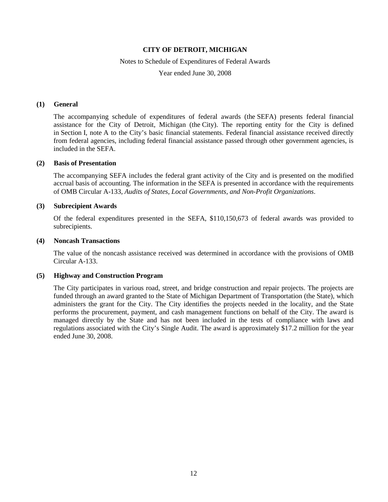#### Notes to Schedule of Expenditures of Federal Awards

Year ended June 30, 2008

### **(1) General**

The accompanying schedule of expenditures of federal awards (the SEFA) presents federal financial assistance for the City of Detroit, Michigan (the City). The reporting entity for the City is defined in Section I, note A to the City's basic financial statements. Federal financial assistance received directly from federal agencies, including federal financial assistance passed through other government agencies, is included in the SEFA.

#### **(2) Basis of Presentation**

The accompanying SEFA includes the federal grant activity of the City and is presented on the modified accrual basis of accounting. The information in the SEFA is presented in accordance with the requirements of OMB Circular A-133, *Audits of States, Local Governments, and Non-Profit Organizations*.

#### **(3) Subrecipient Awards**

Of the federal expenditures presented in the SEFA, \$110,150,673 of federal awards was provided to subrecipients.

#### **(4) Noncash Transactions**

The value of the noncash assistance received was determined in accordance with the provisions of OMB Circular A-133.

#### **(5) Highway and Construction Program**

The City participates in various road, street, and bridge construction and repair projects. The projects are funded through an award granted to the State of Michigan Department of Transportation (the State), which administers the grant for the City. The City identifies the projects needed in the locality, and the State performs the procurement, payment, and cash management functions on behalf of the City. The award is managed directly by the State and has not been included in the tests of compliance with laws and regulations associated with the City's Single Audit. The award is approximately \$17.2 million for the year ended June 30, 2008.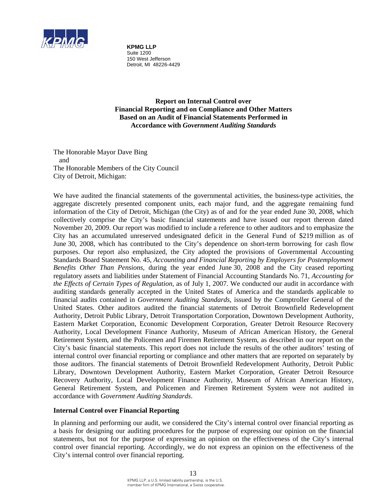

**KPMG LLP** Suite 1200 150 West Jefferson Detroit, MI 48226-4429

**Report on Internal Control over Financial Reporting and on Compliance and Other Matters Based on an Audit of Financial Statements Performed in Accordance with** *Government Auditing Standards*

The Honorable Mayor Dave Bing and The Honorable Members of the City Council City of Detroit, Michigan:

We have audited the financial statements of the governmental activities, the business-type activities, the aggregate discretely presented component units, each major fund, and the aggregate remaining fund information of the City of Detroit, Michigan (the City) as of and for the year ended June 30, 2008, which collectively comprise the City's basic financial statements and have issued our report thereon dated November 20, 2009. Our report was modified to include a reference to other auditors and to emphasize the City has an accumulated unreserved undesignated deficit in the General Fund of \$219 million as of June 30, 2008, which has contributed to the City's dependence on short-term borrowing for cash flow purposes. Our report also emphasized, the City adopted the provisions of Governmental Accounting Standards Board Statement No. 45, *Accounting and Financial Reporting by Employers for Postemployment Benefits Other Than Pensions*, during the year ended June 30, 2008 and the City ceased reporting regulatory assets and liabilities under Statement of Financial Accounting Standards No. 71, *Accounting for the Effects of Certain Types of Regulation*, as of July 1, 2007. We conducted our audit in accordance with auditing standards generally accepted in the United States of America and the standards applicable to financial audits contained in *Government Auditing Standards*, issued by the Comptroller General of the United States. Other auditors audited the financial statements of Detroit Brownfield Redevelopment Authority, Detroit Public Library, Detroit Transportation Corporation, Downtown Development Authority, Eastern Market Corporation, Economic Development Corporation, Greater Detroit Resource Recovery Authority, Local Development Finance Authority, Museum of African American History, the General Retirement System, and the Policemen and Firemen Retirement System, as described in our report on the City's basic financial statements. This report does not include the results of the other auditors' testing of internal control over financial reporting or compliance and other matters that are reported on separately by those auditors. The financial statements of Detroit Brownfield Redevelopment Authority, Detroit Public Library, Downtown Development Authority, Eastern Market Corporation, Greater Detroit Resource Recovery Authority, Local Development Finance Authority, Museum of African American History, General Retirement System, and Policemen and Firemen Retirement System were not audited in accordance with *Government Auditing Standards*.

# **Internal Control over Financial Reporting**

In planning and performing our audit, we considered the City's internal control over financial reporting as a basis for designing our auditing procedures for the purpose of expressing our opinion on the financial statements, but not for the purpose of expressing an opinion on the effectiveness of the City's internal control over financial reporting. Accordingly, we do not express an opinion on the effectiveness of the City's internal control over financial reporting.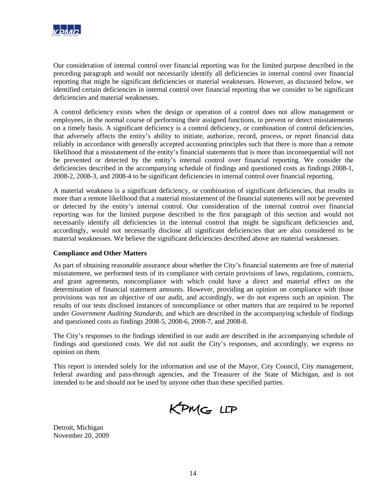

Our consideration of internal control over financial reporting was for the limited purpose described in the preceding paragraph and would not necessarily identify all deficiencies in internal control over financial reporting that might be significant deficiencies or material weaknesses. However, as discussed below, we identified certain deficiencies in internal control over financial reporting that we consider to be significant deficiencies and material weaknesses.

A control deficiency exists when the design or operation of a control does not allow management or employees, in the normal course of performing their assigned functions, to prevent or detect misstatements on a timely basis. A significant deficiency is a control deficiency, or combination of control deficiencies, that adversely affects the entity's ability to initiate, authorize, record, process, or report financial data reliably in accordance with generally accepted accounting principles such that there is more than a remote likelihood that a misstatement of the entity's financial statements that is more than inconsequential will not be prevented or detected by the entity's internal control over financial reporting. We consider the deficiencies described in the accompanying schedule of findings and questioned costs as findings 2008-1, 2008-2, 2008-3, and 2008-4 to be significant deficiencies in internal control over financial reporting.

A material weakness is a significant deficiency, or combination of significant deficiencies, that results in more than a remote likelihood that a material misstatement of the financial statements will not be prevented or detected by the entity's internal control. Our consideration of the internal control over financial reporting was for the limited purpose described in the first paragraph of this section and would not necessarily identify all deficiencies in the internal control that might be significant deficiencies and, accordingly, would not necessarily disclose all significant deficiencies that are also considered to be material weaknesses. We believe the significant deficiencies described above are material weaknesses.

# **Compliance and Other Matters**

As part of obtaining reasonable assurance about whether the City's financial statements are free of material misstatement, we performed tests of its compliance with certain provisions of laws, regulations, contracts, and grant agreements, noncompliance with which could have a direct and material effect on the determination of financial statement amounts. However, providing an opinion on compliance with those provisions was not an objective of our audit, and accordingly, we do not express such an opinion. The results of our tests disclosed instances of noncompliance or other matters that are required to be reported under *Government Auditing Standards*, and which are described in the accompanying schedule of findings and questioned costs as findings 2008-5, 2008-6, 2008-7, and 2008-8.

The City's responses to the findings identified in our audit are described in the accompanying schedule of findings and questioned costs. We did not audit the City's responses, and accordingly, we express no opinion on them.

This report is intended solely for the information and use of the Mayor, City Council, City management, federal awarding and pass-through agencies, and the Treasurer of the State of Michigan, and is not intended to be and should not be used by anyone other than these specified parties.

KPMG LLP

Detroit, Michigan November 20, 2009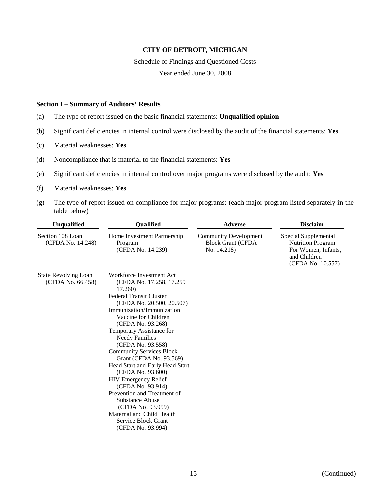Schedule of Findings and Questioned Costs

Year ended June 30, 2008

#### **Section I – Summary of Auditors' Results**

- (a) The type of report issued on the basic financial statements: **Unqualified opinion**
- (b) Significant deficiencies in internal control were disclosed by the audit of the financial statements: **Yes**
- (c) Material weaknesses: **Yes**
- (d) Noncompliance that is material to the financial statements: **Yes**
- (e) Significant deficiencies in internal control over major programs were disclosed by the audit: **Yes**
- (f) Material weaknesses: **Yes**
- (g) The type of report issued on compliance for major programs: (each major program listed separately in the table below)

| <b>Unqualified</b>                               | <b>Qualified</b>                                                                                                                                                                                                                                                                                                                                                                                                                                                                                                                                                                                              | <b>Adverse</b>                                                          | <b>Disclaim</b>                                                                                              |
|--------------------------------------------------|---------------------------------------------------------------------------------------------------------------------------------------------------------------------------------------------------------------------------------------------------------------------------------------------------------------------------------------------------------------------------------------------------------------------------------------------------------------------------------------------------------------------------------------------------------------------------------------------------------------|-------------------------------------------------------------------------|--------------------------------------------------------------------------------------------------------------|
| Section 108 Loan<br>(CFDA No. 14.248)            | Home Investment Partnership<br>Program<br>(CFDA No. 14.239)                                                                                                                                                                                                                                                                                                                                                                                                                                                                                                                                                   | <b>Community Development</b><br><b>Block Grant (CFDA</b><br>No. 14.218) | Special Supplemental<br><b>Nutrition Program</b><br>For Women, Infants,<br>and Children<br>(CFDA No. 10.557) |
| <b>State Revolving Loan</b><br>(CFDA No. 66.458) | Workforce Investment Act<br>(CFDA No. 17.258, 17.259)<br>17.260)<br><b>Federal Transit Cluster</b><br>(CFDA No. 20.500, 20.507)<br>Immunization/Immunization<br>Vaccine for Children<br>(CFDA No. 93.268)<br>Temporary Assistance for<br><b>Needy Families</b><br>(CFDA No. 93.558)<br><b>Community Services Block</b><br>Grant (CFDA No. 93.569)<br>Head Start and Early Head Start<br>(CFDA No. 93.600)<br><b>HIV Emergency Relief</b><br>(CFDA No. 93.914)<br>Prevention and Treatment of<br>Substance Abuse<br>(CFDA No. 93.959)<br>Maternal and Child Health<br>Service Block Grant<br>(CFDA No. 93.994) |                                                                         |                                                                                                              |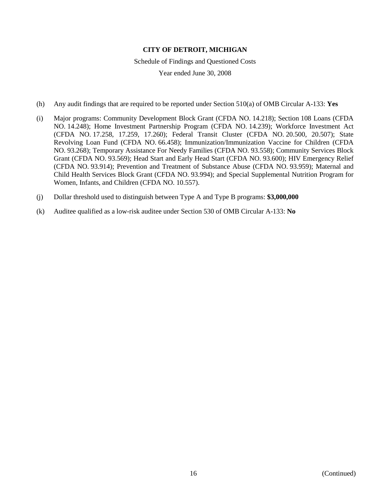Schedule of Findings and Questioned Costs

- (h) Any audit findings that are required to be reported under Section 510(a) of OMB Circular A-133: **Yes**
- (i) Major programs: Community Development Block Grant (CFDA NO. 14.218); Section 108 Loans (CFDA NO. 14.248); Home Investment Partnership Program (CFDA NO. 14.239); Workforce Investment Act (CFDA NO. 17.258, 17.259, 17.260); Federal Transit Cluster (CFDA NO. 20.500, 20.507); State Revolving Loan Fund (CFDA NO. 66.458); Immunization/Immunization Vaccine for Children (CFDA NO. 93.268); Temporary Assistance For Needy Families (CFDA NO. 93.558); Community Services Block Grant (CFDA NO. 93.569); Head Start and Early Head Start (CFDA NO. 93.600); HIV Emergency Relief (CFDA NO. 93.914); Prevention and Treatment of Substance Abuse (CFDA NO. 93.959); Maternal and Child Health Services Block Grant (CFDA NO. 93.994); and Special Supplemental Nutrition Program for Women, Infants, and Children (CFDA NO. 10.557).
- (j) Dollar threshold used to distinguish between Type A and Type B programs: **\$3,000,000**
- (k) Auditee qualified as a low-risk auditee under Section 530 of OMB Circular A-133: **No**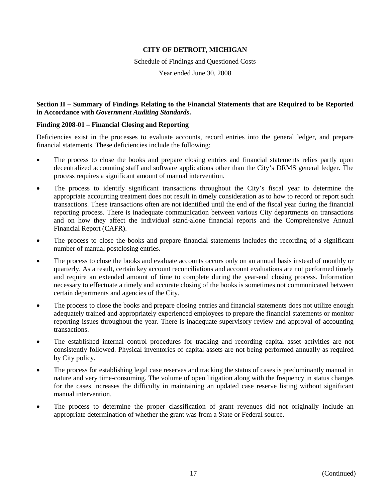Schedule of Findings and Questioned Costs

Year ended June 30, 2008

# **Section II – Summary of Findings Relating to the Financial Statements that are Required to be Reported in Accordance with** *Government Auditing Standards***.**

### **Finding 2008-01 – Financial Closing and Reporting**

Deficiencies exist in the processes to evaluate accounts, record entries into the general ledger, and prepare financial statements. These deficiencies include the following:

- The process to close the books and prepare closing entries and financial statements relies partly upon decentralized accounting staff and software applications other than the City's DRMS general ledger. The process requires a significant amount of manual intervention.
- The process to identify significant transactions throughout the City's fiscal year to determine the appropriate accounting treatment does not result in timely consideration as to how to record or report such transactions. These transactions often are not identified until the end of the fiscal year during the financial reporting process. There is inadequate communication between various City departments on transactions and on how they affect the individual stand-alone financial reports and the Comprehensive Annual Financial Report (CAFR).
- The process to close the books and prepare financial statements includes the recording of a significant number of manual postclosing entries.
- The process to close the books and evaluate accounts occurs only on an annual basis instead of monthly or quarterly. As a result, certain key account reconciliations and account evaluations are not performed timely and require an extended amount of time to complete during the year-end closing process. Information necessary to effectuate a timely and accurate closing of the books is sometimes not communicated between certain departments and agencies of the City.
- The process to close the books and prepare closing entries and financial statements does not utilize enough adequately trained and appropriately experienced employees to prepare the financial statements or monitor reporting issues throughout the year. There is inadequate supervisory review and approval of accounting transactions.
- The established internal control procedures for tracking and recording capital asset activities are not consistently followed. Physical inventories of capital assets are not being performed annually as required by City policy.
- The process for establishing legal case reserves and tracking the status of cases is predominantly manual in nature and very time-consuming. The volume of open litigation along with the frequency in status changes for the cases increases the difficulty in maintaining an updated case reserve listing without significant manual intervention.
- The process to determine the proper classification of grant revenues did not originally include an appropriate determination of whether the grant was from a State or Federal source.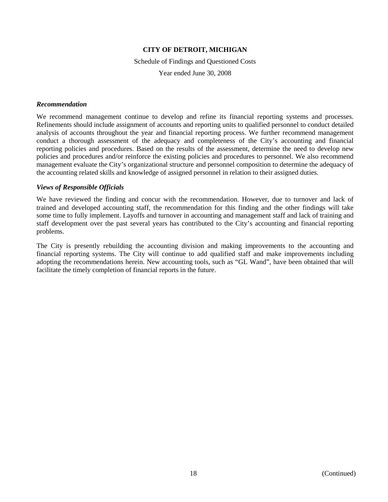Schedule of Findings and Questioned Costs

Year ended June 30, 2008

#### *Recommendation*

We recommend management continue to develop and refine its financial reporting systems and processes. Refinements should include assignment of accounts and reporting units to qualified personnel to conduct detailed analysis of accounts throughout the year and financial reporting process. We further recommend management conduct a thorough assessment of the adequacy and completeness of the City's accounting and financial reporting policies and procedures. Based on the results of the assessment, determine the need to develop new policies and procedures and/or reinforce the existing policies and procedures to personnel. We also recommend management evaluate the City's organizational structure and personnel composition to determine the adequacy of the accounting related skills and knowledge of assigned personnel in relation to their assigned duties.

#### *Views of Responsible Officials*

We have reviewed the finding and concur with the recommendation. However, due to turnover and lack of trained and developed accounting staff, the recommendation for this finding and the other findings will take some time to fully implement. Layoffs and turnover in accounting and management staff and lack of training and staff development over the past several years has contributed to the City's accounting and financial reporting problems.

The City is presently rebuilding the accounting division and making improvements to the accounting and financial reporting systems. The City will continue to add qualified staff and make improvements including adopting the recommendations herein. New accounting tools, such as "GL Wand", have been obtained that will facilitate the timely completion of financial reports in the future.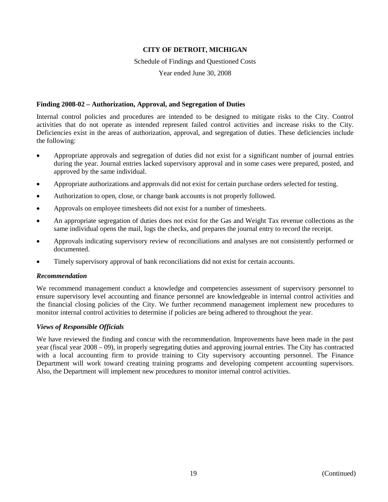Schedule of Findings and Questioned Costs

Year ended June 30, 2008

# **Finding 2008-02 – Authorization, Approval, and Segregation of Duties**

Internal control policies and procedures are intended to be designed to mitigate risks to the City. Control activities that do not operate as intended represent failed control activities and increase risks to the City. Deficiencies exist in the areas of authorization, approval, and segregation of duties. These deficiencies include the following:

- Appropriate approvals and segregation of duties did not exist for a significant number of journal entries during the year. Journal entries lacked supervisory approval and in some cases were prepared, posted, and approved by the same individual.
- Appropriate authorizations and approvals did not exist for certain purchase orders selected for testing.
- Authorization to open, close, or change bank accounts is not properly followed.
- Approvals on employee timesheets did not exist for a number of timesheets.
- An appropriate segregation of duties does not exist for the Gas and Weight Tax revenue collections as the same individual opens the mail, logs the checks, and prepares the journal entry to record the receipt.
- Approvals indicating supervisory review of reconciliations and analyses are not consistently performed or documented.
- Timely supervisory approval of bank reconciliations did not exist for certain accounts.

# *Recommendation*

We recommend management conduct a knowledge and competencies assessment of supervisory personnel to ensure supervisory level accounting and finance personnel are knowledgeable in internal control activities and the financial closing policies of the City. We further recommend management implement new procedures to monitor internal control activities to determine if policies are being adhered to throughout the year.

# *Views of Responsible Officials*

We have reviewed the finding and concur with the recommendation. Improvements have been made in the past year (fiscal year 2008 – 09), in properly segregating duties and approving journal entries. The City has contracted with a local accounting firm to provide training to City supervisory accounting personnel. The Finance Department will work toward creating training programs and developing competent accounting supervisors. Also, the Department will implement new procedures to monitor internal control activities.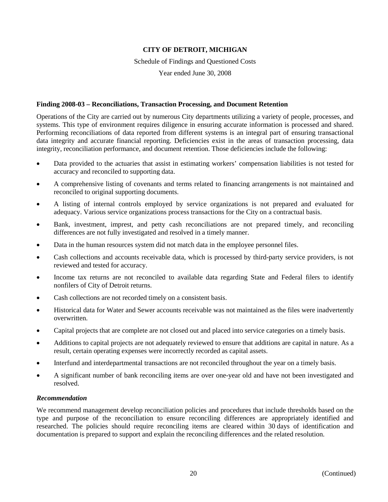Schedule of Findings and Questioned Costs

Year ended June 30, 2008

### **Finding 2008-03 – Reconciliations, Transaction Processing, and Document Retention**

Operations of the City are carried out by numerous City departments utilizing a variety of people, processes, and systems. This type of environment requires diligence in ensuring accurate information is processed and shared. Performing reconciliations of data reported from different systems is an integral part of ensuring transactional data integrity and accurate financial reporting. Deficiencies exist in the areas of transaction processing, data integrity, reconciliation performance, and document retention. Those deficiencies include the following:

- Data provided to the actuaries that assist in estimating workers' compensation liabilities is not tested for accuracy and reconciled to supporting data.
- A comprehensive listing of covenants and terms related to financing arrangements is not maintained and reconciled to original supporting documents.
- A listing of internal controls employed by service organizations is not prepared and evaluated for adequacy. Various service organizations process transactions for the City on a contractual basis.
- Bank, investment, imprest, and petty cash reconciliations are not prepared timely, and reconciling differences are not fully investigated and resolved in a timely manner.
- Data in the human resources system did not match data in the employee personnel files.
- Cash collections and accounts receivable data, which is processed by third-party service providers, is not reviewed and tested for accuracy.
- Income tax returns are not reconciled to available data regarding State and Federal filers to identify nonfilers of City of Detroit returns.
- Cash collections are not recorded timely on a consistent basis.
- Historical data for Water and Sewer accounts receivable was not maintained as the files were inadvertently overwritten.
- Capital projects that are complete are not closed out and placed into service categories on a timely basis.
- Additions to capital projects are not adequately reviewed to ensure that additions are capital in nature. As a result, certain operating expenses were incorrectly recorded as capital assets.
- Interfund and interdepartmental transactions are not reconciled throughout the year on a timely basis.
- A significant number of bank reconciling items are over one-year old and have not been investigated and resolved.

#### *Recommendation*

We recommend management develop reconciliation policies and procedures that include thresholds based on the type and purpose of the reconciliation to ensure reconciling differences are appropriately identified and researched. The policies should require reconciling items are cleared within 30 days of identification and documentation is prepared to support and explain the reconciling differences and the related resolution.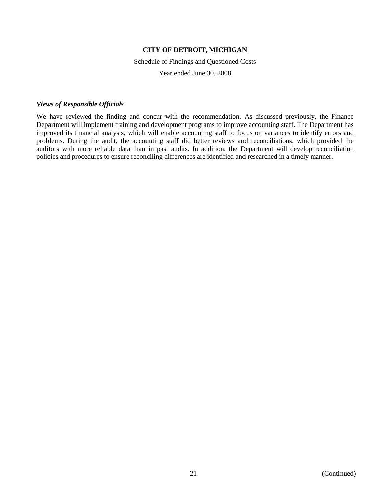Schedule of Findings and Questioned Costs

Year ended June 30, 2008

### *Views of Responsible Officials*

We have reviewed the finding and concur with the recommendation. As discussed previously, the Finance Department will implement training and development programs to improve accounting staff. The Department has improved its financial analysis, which will enable accounting staff to focus on variances to identify errors and problems. During the audit, the accounting staff did better reviews and reconciliations, which provided the auditors with more reliable data than in past audits. In addition, the Department will develop reconciliation policies and procedures to ensure reconciling differences are identified and researched in a timely manner.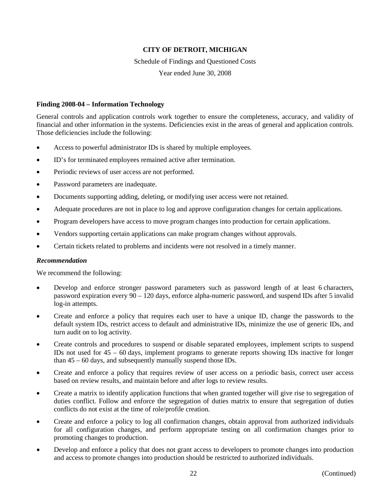Schedule of Findings and Questioned Costs

Year ended June 30, 2008

### **Finding 2008-04 – Information Technology**

General controls and application controls work together to ensure the completeness, accuracy, and validity of financial and other information in the systems. Deficiencies exist in the areas of general and application controls. Those deficiencies include the following:

- Access to powerful administrator IDs is shared by multiple employees.
- ID's for terminated employees remained active after termination.
- Periodic reviews of user access are not performed.
- Password parameters are inadequate.
- Documents supporting adding, deleting, or modifying user access were not retained.
- Adequate procedures are not in place to log and approve configuration changes for certain applications.
- Program developers have access to move program changes into production for certain applications.
- Vendors supporting certain applications can make program changes without approvals.
- Certain tickets related to problems and incidents were not resolved in a timely manner.

#### *Recommendation*

We recommend the following:

- Develop and enforce stronger password parameters such as password length of at least 6 characters, password expiration every 90 – 120 days, enforce alpha-numeric password, and suspend IDs after 5 invalid log-in attempts.
- Create and enforce a policy that requires each user to have a unique ID, change the passwords to the default system IDs, restrict access to default and administrative IDs, minimize the use of generic IDs, and turn audit on to log activity.
- Create controls and procedures to suspend or disable separated employees, implement scripts to suspend IDs not used for  $45 - 60$  days, implement programs to generate reports showing IDs inactive for longer than 45 – 60 days, and subsequently manually suspend those IDs.
- Create and enforce a policy that requires review of user access on a periodic basis, correct user access based on review results, and maintain before and after logs to review results.
- Create a matrix to identify application functions that when granted together will give rise to segregation of duties conflict. Follow and enforce the segregation of duties matrix to ensure that segregation of duties conflicts do not exist at the time of role/profile creation.
- Create and enforce a policy to log all confirmation changes, obtain approval from authorized individuals for all configuration changes, and perform appropriate testing on all confirmation changes prior to promoting changes to production.
- Develop and enforce a policy that does not grant access to developers to promote changes into production and access to promote changes into production should be restricted to authorized individuals.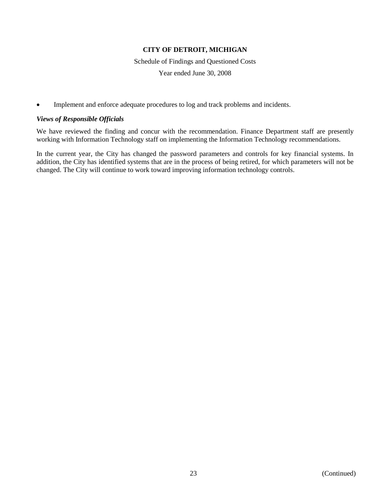Schedule of Findings and Questioned Costs

Year ended June 30, 2008

• Implement and enforce adequate procedures to log and track problems and incidents.

### *Views of Responsible Officials*

We have reviewed the finding and concur with the recommendation. Finance Department staff are presently working with Information Technology staff on implementing the Information Technology recommendations.

In the current year, the City has changed the password parameters and controls for key financial systems. In addition, the City has identified systems that are in the process of being retired, for which parameters will not be changed. The City will continue to work toward improving information technology controls.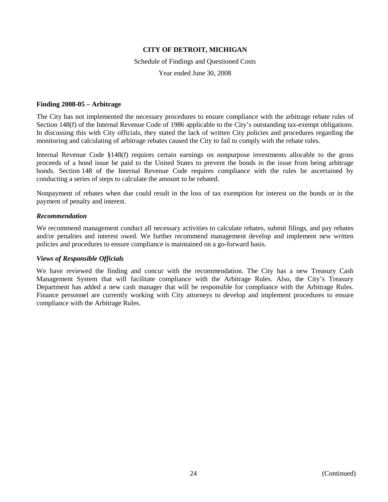Schedule of Findings and Questioned Costs

Year ended June 30, 2008

### **Finding 2008-05 – Arbitrage**

The City has not implemented the necessary procedures to ensure compliance with the arbitrage rebate rules of Section 148(f) of the Internal Revenue Code of 1986 applicable to the City's outstanding tax-exempt obligations. In discussing this with City officials, they stated the lack of written City policies and procedures regarding the monitoring and calculating of arbitrage rebates caused the City to fail to comply with the rebate rules.

Internal Revenue Code §148(f) requires certain earnings on nonpurpose investments allocable to the gross proceeds of a bond issue be paid to the United States to prevent the bonds in the issue from being arbitrage bonds. Section 148 of the Internal Revenue Code requires compliance with the rules be ascertained by conducting a series of steps to calculate the amount to be rebated.

Nonpayment of rebates when due could result in the loss of tax exemption for interest on the bonds or in the payment of penalty and interest.

### *Recommendation*

We recommend management conduct all necessary activities to calculate rebates, submit filings, and pay rebates and/or penalties and interest owed. We further recommend management develop and implement new written policies and procedures to ensure compliance is maintained on a go-forward basis.

# *Views of Responsible Officials*

We have reviewed the finding and concur with the recommendation. The City has a new Treasury Cash Management System that will facilitate compliance with the Arbitrage Rules. Also, the City's Treasury Department has added a new cash manager that will be responsible for compliance with the Arbitrage Rules. Finance personnel are currently working with City attorneys to develop and implement procedures to ensure compliance with the Arbitrage Rules.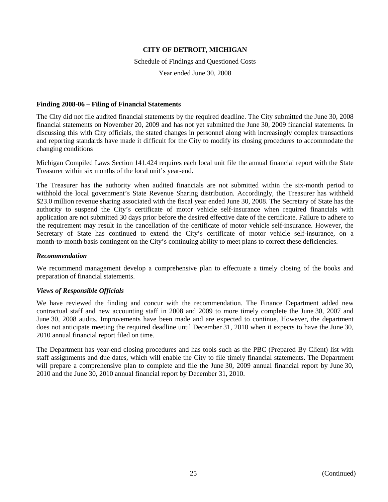Schedule of Findings and Questioned Costs

Year ended June 30, 2008

### **Finding 2008-06 – Filing of Financial Statements**

The City did not file audited financial statements by the required deadline. The City submitted the June 30, 2008 financial statements on November 20, 2009 and has not yet submitted the June 30, 2009 financial statements. In discussing this with City officials, the stated changes in personnel along with increasingly complex transactions and reporting standards have made it difficult for the City to modify its closing procedures to accommodate the changing conditions

Michigan Compiled Laws Section 141.424 requires each local unit file the annual financial report with the State Treasurer within six months of the local unit's year-end.

The Treasurer has the authority when audited financials are not submitted within the six-month period to withhold the local government's State Revenue Sharing distribution. Accordingly, the Treasurer has withheld \$23.0 million revenue sharing associated with the fiscal year ended June 30, 2008. The Secretary of State has the authority to suspend the City's certificate of motor vehicle self-insurance when required financials with application are not submitted 30 days prior before the desired effective date of the certificate. Failure to adhere to the requirement may result in the cancellation of the certificate of motor vehicle self-insurance. However, the Secretary of State has continued to extend the City's certificate of motor vehicle self-insurance, on a month-to-month basis contingent on the City's continuing ability to meet plans to correct these deficiencies.

# *Recommendation*

We recommend management develop a comprehensive plan to effectuate a timely closing of the books and preparation of financial statements.

# *Views of Responsible Officials*

We have reviewed the finding and concur with the recommendation. The Finance Department added new contractual staff and new accounting staff in 2008 and 2009 to more timely complete the June 30, 2007 and June 30, 2008 audits. Improvements have been made and are expected to continue. However, the department does not anticipate meeting the required deadline until December 31, 2010 when it expects to have the June 30, 2010 annual financial report filed on time.

The Department has year-end closing procedures and has tools such as the PBC (Prepared By Client) list with staff assignments and due dates, which will enable the City to file timely financial statements. The Department will prepare a comprehensive plan to complete and file the June 30, 2009 annual financial report by June 30, 2010 and the June 30, 2010 annual financial report by December 31, 2010.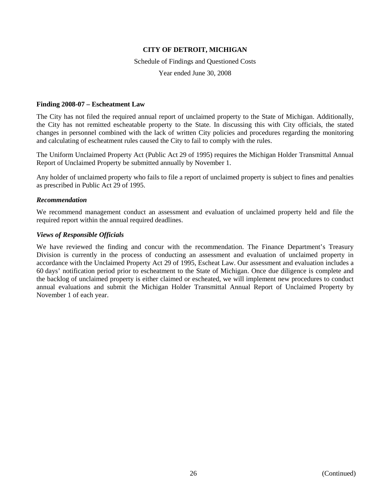#### Schedule of Findings and Questioned Costs

Year ended June 30, 2008

#### **Finding 2008-07 – Escheatment Law**

The City has not filed the required annual report of unclaimed property to the State of Michigan. Additionally, the City has not remitted escheatable property to the State. In discussing this with City officials, the stated changes in personnel combined with the lack of written City policies and procedures regarding the monitoring and calculating of escheatment rules caused the City to fail to comply with the rules.

The Uniform Unclaimed Property Act (Public Act 29 of 1995) requires the Michigan Holder Transmittal Annual Report of Unclaimed Property be submitted annually by November 1.

Any holder of unclaimed property who fails to file a report of unclaimed property is subject to fines and penalties as prescribed in Public Act 29 of 1995.

### *Recommendation*

We recommend management conduct an assessment and evaluation of unclaimed property held and file the required report within the annual required deadlines.

### *Views of Responsible Officials*

We have reviewed the finding and concur with the recommendation. The Finance Department's Treasury Division is currently in the process of conducting an assessment and evaluation of unclaimed property in accordance with the Unclaimed Property Act 29 of 1995, Escheat Law. Our assessment and evaluation includes a 60 days' notification period prior to escheatment to the State of Michigan. Once due diligence is complete and the backlog of unclaimed property is either claimed or escheated, we will implement new procedures to conduct annual evaluations and submit the Michigan Holder Transmittal Annual Report of Unclaimed Property by November 1 of each year.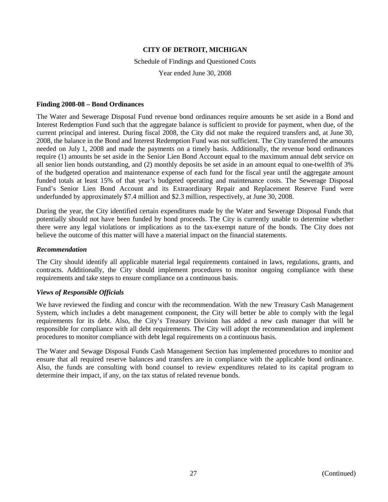#### Schedule of Findings and Questioned Costs

Year ended June 30, 2008

#### **Finding 2008-08 – Bond Ordinances**

The Water and Sewerage Disposal Fund revenue bond ordinances require amounts be set aside in a Bond and Interest Redemption Fund such that the aggregate balance is sufficient to provide for payment, when due, of the current principal and interest. During fiscal 2008, the City did not make the required transfers and, at June 30, 2008, the balance in the Bond and Interest Redemption Fund was not sufficient. The City transferred the amounts needed on July 1, 2008 and made the payments on a timely basis. Additionally, the revenue bond ordinances require (1) amounts be set aside in the Senior Lien Bond Account equal to the maximum annual debt service on all senior lien bonds outstanding, and (2) monthly deposits be set aside in an amount equal to one-twelfth of 3% of the budgeted operation and maintenance expense of each fund for the fiscal year until the aggregate amount funded totals at least 15% of that year's budgeted operating and maintenance costs. The Sewerage Disposal Fund's Senior Lien Bond Account and its Extraordinary Repair and Replacement Reserve Fund were underfunded by approximately \$7.4 million and \$2.3 million, respectively, at June 30, 2008.

During the year, the City identified certain expenditures made by the Water and Sewerage Disposal Funds that potentially should not have been funded by bond proceeds. The City is currently unable to determine whether there were any legal violations or implications as to the tax-exempt nature of the bonds. The City does not believe the outcome of this matter will have a material impact on the financial statements.

#### *Recommendation*

The City should identify all applicable material legal requirements contained in laws, regulations, grants, and contracts. Additionally, the City should implement procedures to monitor ongoing compliance with these requirements and take steps to ensure compliance on a continuous basis.

#### *Views of Responsible Officials*

We have reviewed the finding and concur with the recommendation. With the new Treasury Cash Management System, which includes a debt management component, the City will better be able to comply with the legal requirements for its debt. Also, the City's Treasury Division has added a new cash manager that will be responsible for compliance with all debt requirements. The City will adopt the recommendation and implement procedures to monitor compliance with debt legal requirements on a continuous basis.

The Water and Sewage Disposal Funds Cash Management Section has implemented procedures to monitor and ensure that all required reserve balances and transfers are in compliance with the applicable bond ordinance. Also, the funds are consulting with bond counsel to review expenditures related to its capital program to determine their impact, if any, on the tax status of related revenue bonds.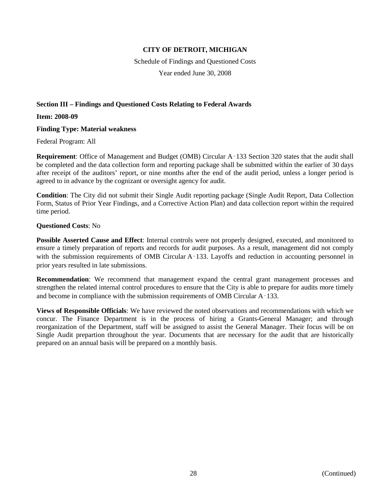Schedule of Findings and Questioned Costs

Year ended June 30, 2008

# **Section III – Findings and Questioned Costs Relating to Federal Awards**

**Item: 2008-09**

# **Finding Type: Material weakness**

Federal Program: All

**Requirement**: Office of Management and Budget (OMB) Circular A‑133 Section 320 states that the audit shall be completed and the data collection form and reporting package shall be submitted within the earlier of 30 days after receipt of the auditors' report, or nine months after the end of the audit period, unless a longer period is agreed to in advance by the cognizant or oversight agency for audit.

**Condition**: The City did not submit their Single Audit reporting package (Single Audit Report, Data Collection Form, Status of Prior Year Findings, and a Corrective Action Plan) and data collection report within the required time period.

### **Questioned Costs**: No

**Possible Asserted Cause and Effect**: Internal controls were not properly designed, executed, and monitored to ensure a timely preparation of reports and records for audit purposes. As a result, management did not comply with the submission requirements of OMB Circular A–133. Layoffs and reduction in accounting personnel in prior years resulted in late submissions.

**Recommendation**: We recommend that management expand the central grant management processes and strengthen the related internal control procedures to ensure that the City is able to prepare for audits more timely and become in compliance with the submission requirements of OMB Circular  $A-133$ .

**Views of Responsible Officials**: We have reviewed the noted observations and recommendations with which we concur. The Finance Department is in the process of hiring a Grants-General Manager; and through reorganization of the Department, staff will be assigned to assist the General Manager. Their focus will be on Single Audit prepartion throughout the year. Documents that are necessary for the audit that are historically prepared on an annual basis will be prepared on a monthly basis.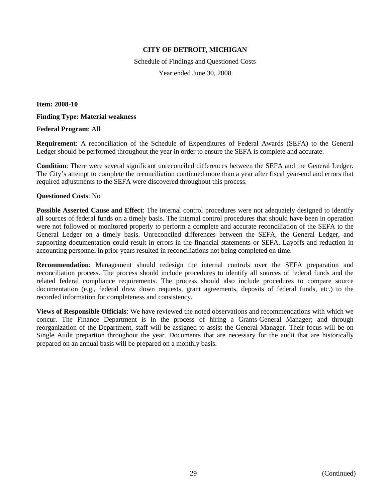Schedule of Findings and Questioned Costs Year ended June 30, 2008

**Item: 2008-10**

### **Finding Type: Material weakness**

### **Federal Program**: All

**Requirement**: A reconciliation of the Schedule of Expenditures of Federal Awards (SEFA) to the General Ledger should be performed throughout the year in order to ensure the SEFA is complete and accurate.

**Condition**: There were several significant unreconciled differences between the SEFA and the General Ledger. The City's attempt to complete the reconciliation continued more than a year after fiscal year-end and errors that required adjustments to the SEFA were discovered throughout this process.

### **Questioned Costs**: No

**Possible Asserted Cause and Effect**: The internal control procedures were not adequately designed to identify all sources of federal funds on a timely basis. The internal control procedures that should have been in operation were not followed or monitored properly to perform a complete and accurate reconciliation of the SEFA to the General Ledger on a timely basis. Unreconciled differences between the SEFA, the General Ledger, and supporting documentation could result in errors in the financial statements or SEFA. Layoffs and reduction in accounting personnel in prior years resulted in reconciliations not being completed on time.

**Recommendation**: Management should redesign the internal controls over the SEFA preparation and reconciliation process. The process should include procedures to identify all sources of federal funds and the related federal compliance requirements. The process should also include procedures to compare source documentation (e.g., federal draw down requests, grant agreements, deposits of federal funds, etc.) to the recorded information for completeness and consistency.

**Views of Responsible Officials**: We have reviewed the noted observations and recommendations with which we concur. The Finance Department is in the process of hiring a Grants-General Manager; and through reorganization of the Department, staff will be assigned to assist the General Manager. Their focus will be on Single Audit prepartion throughout the year. Documents that are necessary for the audit that are historically prepared on an annual basis will be prepared on a monthly basis.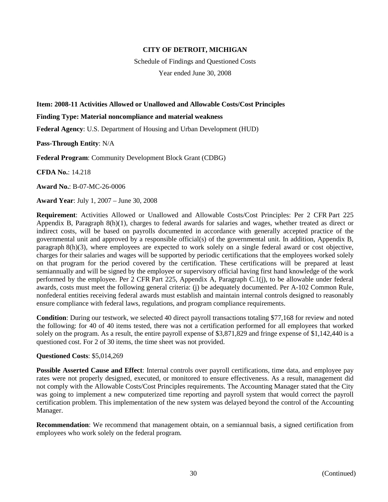Schedule of Findings and Questioned Costs

Year ended June 30, 2008

### **Item: 2008-11 Activities Allowed or Unallowed and Allowable Costs/Cost Principles**

#### **Finding Type: Material noncompliance and material weakness**

**Federal Agency**: U.S. Department of Housing and Urban Development (HUD)

**Pass-Through Entity**: N/A

**Federal Program**: Community Development Block Grant (CDBG)

**CFDA No.**: 14.218

**Award No.**: B-07-MC-26-0006

**Award Year**: July 1, 2007 – June 30, 2008

**Requirement**: Activities Allowed or Unallowed and Allowable Costs/Cost Principles: Per 2 CFR Part 225 Appendix B, Paragraph 8(h)(1), charges to federal awards for salaries and wages, whether treated as direct or indirect costs, will be based on payrolls documented in accordance with generally accepted practice of the governmental unit and approved by a responsible official(s) of the governmental unit. In addition, Appendix B, paragraph 8(h)(3), where employees are expected to work solely on a single federal award or cost objective, charges for their salaries and wages will be supported by periodic certifications that the employees worked solely on that program for the period covered by the certification. These certifications will be prepared at least semiannually and will be signed by the employee or supervisory official having first hand knowledge of the work performed by the employee. Per 2 CFR Part 225, Appendix A, Paragraph C.1(j), to be allowable under federal awards, costs must meet the following general criteria: (j) be adequately documented. Per A-102 Common Rule, nonfederal entities receiving federal awards must establish and maintain internal controls designed to reasonably ensure compliance with federal laws, regulations, and program compliance requirements.

**Condition**: During our testwork, we selected 40 direct payroll transactions totaling \$77,168 for review and noted the following: for 40 of 40 items tested, there was not a certification performed for all employees that worked solely on the program. As a result, the entire payroll expense of \$3,871,829 and fringe expense of \$1,142,440 is a questioned cost. For 2 of 30 items, the time sheet was not provided.

# **Questioned Costs**: \$5,014,269

**Possible Asserted Cause and Effect**: Internal controls over payroll certifications, time data, and employee pay rates were not properly designed, executed, or monitored to ensure effectiveness. As a result, management did not comply with the Allowable Costs/Cost Principles requirements. The Accounting Manager stated that the City was going to implement a new computerized time reporting and payroll system that would correct the payroll certification problem. This implementation of the new system was delayed beyond the control of the Accounting Manager.

**Recommendation**: We recommend that management obtain, on a semiannual basis, a signed certification from employees who work solely on the federal program.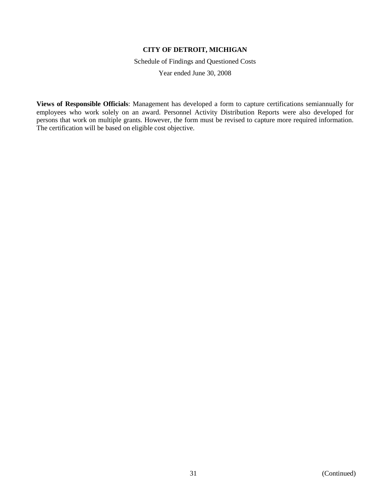Schedule of Findings and Questioned Costs

Year ended June 30, 2008

**Views of Responsible Officials**: Management has developed a form to capture certifications semiannually for employees who work solely on an award. Personnel Activity Distribution Reports were also developed for persons that work on multiple grants. However, the form must be revised to capture more required information. The certification will be based on eligible cost objective.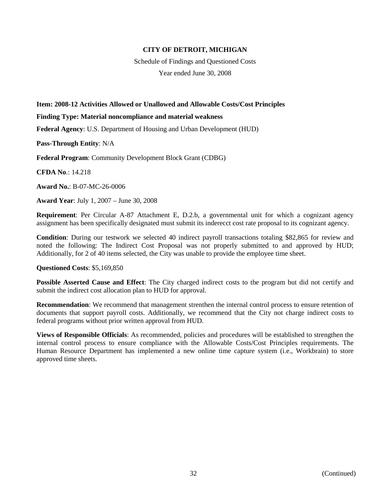Schedule of Findings and Questioned Costs Year ended June 30, 2008

### **Item: 2008-12 Activities Allowed or Unallowed and Allowable Costs/Cost Principles**

#### **Finding Type: Material noncompliance and material weakness**

**Federal Agency**: U.S. Department of Housing and Urban Development (HUD)

**Pass-Through Entity**: N/A

**Federal Program**: Community Development Block Grant (CDBG)

**CFDA No**.: 14.218

**Award No.**: B-07-MC-26-0006

**Award Year**: July 1, 2007 – June 30, 2008

**Requirement**: Per Circular A-87 Attachment E, D.2.b, a governmental unit for which a cognizant agency assignment has been specifically designated must submit its inderecct cost rate proposal to its cognizant agency.

**Condition**: During our testwork we selected 40 indirect payroll transactions totaling \$82,865 for review and noted the following: The Indirect Cost Proposal was not properly submitted to and approved by HUD; Additionally, for 2 of 40 items selected, the City was unable to provide the employee time sheet.

#### **Questioned Costs**: \$5,169,850

**Possible Asserted Cause and Effect**: The City charged indirect costs to the program but did not certify and submit the indirect cost allocation plan to HUD for approval.

**Recommendation**: We recommend that management strenthen the internal control process to ensure retention of documents that support payroll costs. Additionally, we recommend that the City not charge indirect costs to federal programs without prior written approval from HUD.

**Views of Responsible Officials**: As recommended, policies and procedures will be established to strengthen the internal control process to ensure compliance with the Allowable Costs/Cost Principles requirements. The Human Resource Department has implemented a new online time capture system (i.e., Workbrain) to store approved time sheets.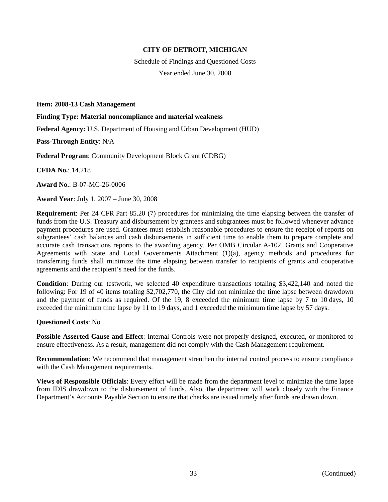Schedule of Findings and Questioned Costs Year ended June 30, 2008

**Item: 2008-13 Cash Management**

**Finding Type: Material noncompliance and material weakness**

**Federal Agency:** U.S. Department of Housing and Urban Development (HUD)

**Pass-Through Entity**: N/A

**Federal Program**: Community Development Block Grant (CDBG)

**CFDA No.**: 14.218

**Award No.**: B-07-MC-26-0006

**Award Year**: July 1, 2007 – June 30, 2008

**Requirement**: Per 24 CFR Part 85.20 (7) procedures for minimizing the time elapsing between the transfer of funds from the U.S. Treasury and disbursement by grantees and subgrantees must be followed whenever advance payment procedures are used. Grantees must establish reasonable procedures to ensure the receipt of reports on subgrantees' cash balances and cash disbursements in sufficient time to enable them to prepare complete and accurate cash transactions reports to the awarding agency. Per OMB Circular A-102, Grants and Cooperative Agreements with State and Local Governments Attachment (1)(a), agency methods and procedures for transferring funds shall minimize the time elapsing between transfer to recipients of grants and cooperative agreements and the recipient's need for the funds.

**Condition**: During our testwork, we selected 40 expenditure transactions totaling \$3,422,140 and noted the following: For 19 of 40 items totaling \$2,702,770, the City did not minimize the time lapse between drawdown and the payment of funds as required. Of the 19, 8 exceeded the minimum time lapse by 7 to 10 days, 10 exceeded the minimum time lapse by 11 to 19 days, and 1 exceeded the minimum time lapse by 57 days.

#### **Questioned Costs**: No

**Possible Asserted Cause and Effect**: Internal Controls were not properly designed, executed, or monitored to ensure effectiveness. As a result, management did not comply with the Cash Management requirement.

**Recommendation**: We recommend that management strenthen the internal control process to ensure compliance with the Cash Management requirements.

**Views of Responsible Officials**: Every effort will be made from the department level to minimize the time lapse from IDIS drawdown to the disbursement of funds. Also, the department will work closely with the Finance Department's Accounts Payable Section to ensure that checks are issued timely after funds are drawn down.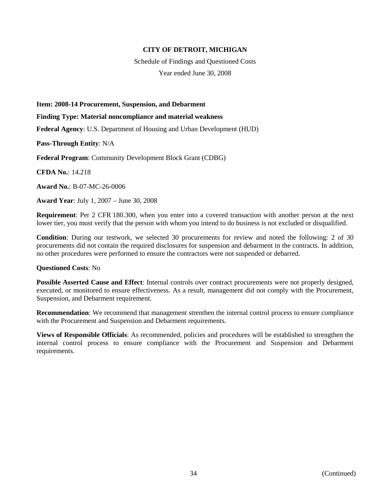Schedule of Findings and Questioned Costs Year ended June 30, 2008

**Item: 2008-14 Procurement, Suspension, and Debarment**

**Finding Type: Material noncompliance and material weakness**

**Federal Agency**: U.S. Department of Housing and Urban Development (HUD)

**Pass-Through Entity**: N/A

**Federal Program**: Community Development Block Grant (CDBG)

**CFDA No.**: 14.218

**Award No.**: B-07-MC-26-0006

**Award Year**: July 1, 2007 – June 30, 2008

**Requirement**: Per 2 CFR 180.300, when you enter into a covered transaction with another person at the next lower tier, you must verify that the person with whom you intend to do business is not excluded or disqualified.

**Condition**: During our testwork, we selected 30 procurements for review and noted the following: 2 of 30 procurements did not contain the required disclosures for suspension and debarment in the contracts. In addition, no other procedures were performed to ensure the contractors were not suspended or debarred.

#### **Questioned Costs**: No

**Possible Asserted Cause and Effect**: Internal controls over contract procurements were not properly designed, executed, or monitored to ensure effectiveness. As a result, management did not comply with the Procurement, Suspension, and Debarment requirement.

**Recommendation**: We recommend that management strenthen the internal control process to ensure compliance with the Procurement and Suspension and Debarment requirements.

**Views of Responsible Officials**: As recommended, policies and procedures will be established to strengthen the internal control process to ensure compliance with the Procurement and Suspension and Debarment requirements.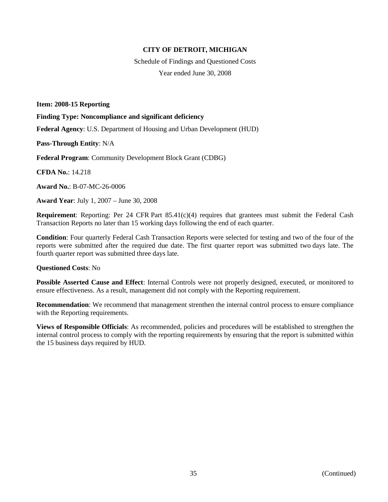Schedule of Findings and Questioned Costs Year ended June 30, 2008

**Item: 2008-15 Reporting**

**Finding Type: Noncompliance and significant deficiency**

**Federal Agency**: U.S. Department of Housing and Urban Development (HUD)

**Pass-Through Entity**: N/A

**Federal Program**: Community Development Block Grant (CDBG)

**CFDA No.**: 14.218

**Award No.**: B-07-MC-26-0006

**Award Year**: July 1, 2007 – June 30, 2008

**Requirement**: Reporting: Per 24 CFR Part 85.41(c)(4) requires that grantees must submit the Federal Cash Transaction Reports no later than 15 working days following the end of each quarter.

**Condition**: Four quarterly Federal Cash Transaction Reports were selected for testing and two of the four of the reports were submitted after the required due date. The first quarter report was submitted two days late. The fourth quarter report was submitted three days late.

#### **Questioned Costs**: No

**Possible Asserted Cause and Effect**: Internal Controls were not properly designed, executed, or monitored to ensure effectiveness. As a result, management did not comply with the Reporting requirement.

**Recommendation**: We recommend that management strenthen the internal control process to ensure compliance with the Reporting requirements.

**Views of Responsible Officials**: As recommended, policies and procedures will be established to strengthen the internal control process to comply with the reporting requirements by ensuring that the report is submitted within the 15 business days required by HUD.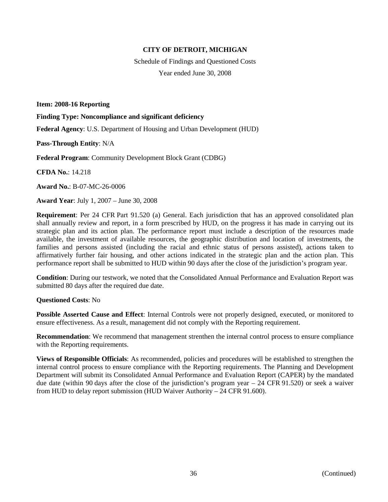Schedule of Findings and Questioned Costs Year ended June 30, 2008

**Item: 2008-16 Reporting**

**Finding Type: Noncompliance and significant deficiency**

**Federal Agency**: U.S. Department of Housing and Urban Development (HUD)

**Pass-Through Entity**: N/A

**Federal Program**: Community Development Block Grant (CDBG)

**CFDA No.**: 14.218

**Award No.**: B-07-MC-26-0006

**Award Year**: July 1, 2007 – June 30, 2008

**Requirement**: Per 24 CFR Part 91.520 (a) General. Each jurisdiction that has an approved consolidated plan shall annually review and report, in a form prescribed by HUD, on the progress it has made in carrying out its strategic plan and its action plan. The performance report must include a description of the resources made available, the investment of available resources, the geographic distribution and location of investments, the families and persons assisted (including the racial and ethnic status of persons assisted), actions taken to affirmatively further fair housing, and other actions indicated in the strategic plan and the action plan. This performance report shall be submitted to HUD within 90 days after the close of the jurisdiction's program year.

**Condition**: During our testwork, we noted that the Consolidated Annual Performance and Evaluation Report was submitted 80 days after the required due date.

**Questioned Costs**: No

**Possible Asserted Cause and Effect**: Internal Controls were not properly designed, executed, or monitored to ensure effectiveness. As a result, management did not comply with the Reporting requirement.

**Recommendation**: We recommend that management strenthen the internal control process to ensure compliance with the Reporting requirements.

**Views of Responsible Officials**: As recommended, policies and procedures will be established to strengthen the internal control process to ensure compliance with the Reporting requirements. The Planning and Development Department will submit its Consolidated Annual Performance and Evaluation Report (CAPER) by the mandated due date (within 90 days after the close of the jurisdiction's program year – 24 CFR 91.520) or seek a waiver from HUD to delay report submission (HUD Waiver Authority – 24 CFR 91.600).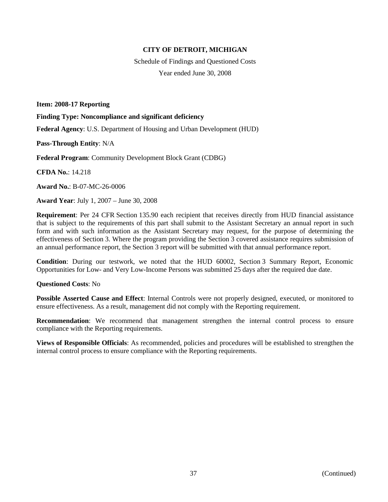Schedule of Findings and Questioned Costs Year ended June 30, 2008

**Item: 2008-17 Reporting**

**Finding Type: Noncompliance and significant deficiency**

**Federal Agency**: U.S. Department of Housing and Urban Development (HUD)

**Pass-Through Entity**: N/A

**Federal Program**: Community Development Block Grant (CDBG)

**CFDA No.**: 14.218

**Award No.**: B-07-MC-26-0006

**Award Year**: July 1, 2007 – June 30, 2008

**Requirement**: Per 24 CFR Section 135.90 each recipient that receives directly from HUD financial assistance that is subject to the requirements of this part shall submit to the Assistant Secretary an annual report in such form and with such information as the Assistant Secretary may request, for the purpose of determining the effectiveness of Section 3. Where the program providing the Section 3 covered assistance requires submission of an annual performance report, the Section 3 report will be submitted with that annual performance report.

**Condition**: During our testwork, we noted that the HUD 60002, Section 3 Summary Report, Economic Opportunities for Low- and Very Low-Income Persons was submitted 25 days after the required due date.

#### **Questioned Costs**: No

**Possible Asserted Cause and Effect**: Internal Controls were not properly designed, executed, or monitored to ensure effectiveness. As a result, management did not comply with the Reporting requirement.

**Recommendation**: We recommend that management strengthen the internal control process to ensure compliance with the Reporting requirements.

**Views of Responsible Officials**: As recommended, policies and procedures will be established to strengthen the internal control process to ensure compliance with the Reporting requirements.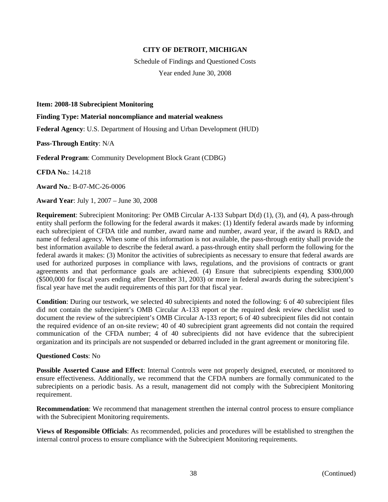Schedule of Findings and Questioned Costs Year ended June 30, 2008

**Item: 2008-18 Subrecipient Monitoring**

**Finding Type: Material noncompliance and material weakness**

**Federal Agency**: U.S. Department of Housing and Urban Development (HUD)

**Pass-Through Entity**: N/A

**Federal Program**: Community Development Block Grant (CDBG)

**CFDA No.**: 14.218

**Award No.**: B-07-MC-26-0006

**Award Year**: July 1, 2007 – June 30, 2008

**Requirement**: Subrecipient Monitoring: Per OMB Circular A-133 Subpart D(d) (1), (3), and (4), A pass-through entity shall perform the following for the federal awards it makes: (1) Identify federal awards made by informing each subrecipient of CFDA title and number, award name and number, award year, if the award is R&D, and name of federal agency. When some of this information is not available, the pass-through entity shall provide the best information available to describe the federal award. a pass-through entity shall perform the following for the federal awards it makes: (3) Monitor the activities of subrecipients as necessary to ensure that federal awards are used for authorized purposes in compliance with laws, regulations, and the provisions of contracts or grant agreements and that performance goals are achieved. (4) Ensure that subrecipients expending \$300,000 (\$500,000 for fiscal years ending after December 31, 2003) or more in federal awards during the subrecipient's fiscal year have met the audit requirements of this part for that fiscal year.

**Condition**: During our testwork, we selected 40 subrecipients and noted the following: 6 of 40 subrecipient files did not contain the subrecipient's OMB Circular A-133 report or the required desk review checklist used to document the review of the subrecipient's OMB Circular A-133 report; 6 of 40 subrecipient files did not contain the required evidence of an on-site review; 40 of 40 subrecipient grant agreements did not contain the required communication of the CFDA number; 4 of 40 subrecipients did not have evidence that the subrecipient organization and its principals are not suspended or debarred included in the grant agreement or monitoring file.

#### **Questioned Costs**: No

**Possible Asserted Cause and Effect**: Internal Controls were not properly designed, executed, or monitored to ensure effectiveness. Additionally, we recommend that the CFDA numbers are formally communicated to the subrecipients on a periodic basis. As a result, management did not comply with the Subrecipient Monitoring requirement.

**Recommendation**: We recommend that management strenthen the internal control process to ensure compliance with the Subrecipient Monitoring requirements.

**Views of Responsible Officials**: As recommended, policies and procedures will be established to strengthen the internal control process to ensure compliance with the Subrecipient Monitoring requirements.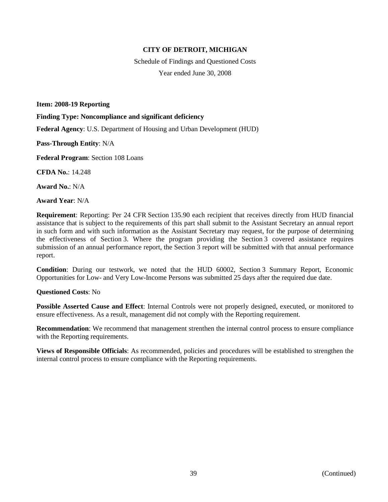Schedule of Findings and Questioned Costs Year ended June 30, 2008

**Item: 2008-19 Reporting**

**Finding Type: Noncompliance and significant deficiency**

**Federal Agency**: U.S. Department of Housing and Urban Development (HUD)

**Pass-Through Entity**: N/A

**Federal Program**: Section 108 Loans

**CFDA No.**: 14.248

**Award No.**: N/A

**Award Year**: N/A

**Requirement**: Reporting: Per 24 CFR Section 135.90 each recipient that receives directly from HUD financial assistance that is subject to the requirements of this part shall submit to the Assistant Secretary an annual report in such form and with such information as the Assistant Secretary may request, for the purpose of determining the effectiveness of Section 3. Where the program providing the Section 3 covered assistance requires submission of an annual performance report, the Section 3 report will be submitted with that annual performance report.

**Condition**: During our testwork, we noted that the HUD 60002, Section 3 Summary Report, Economic Opportunities for Low- and Very Low-Income Persons was submitted 25 days after the required due date.

#### **Questioned Costs**: No

**Possible Asserted Cause and Effect**: Internal Controls were not properly designed, executed, or monitored to ensure effectiveness. As a result, management did not comply with the Reporting requirement.

**Recommendation**: We recommend that management strenthen the internal control process to ensure compliance with the Reporting requirements.

**Views of Responsible Officials**: As recommended, policies and procedures will be established to strengthen the internal control process to ensure compliance with the Reporting requirements.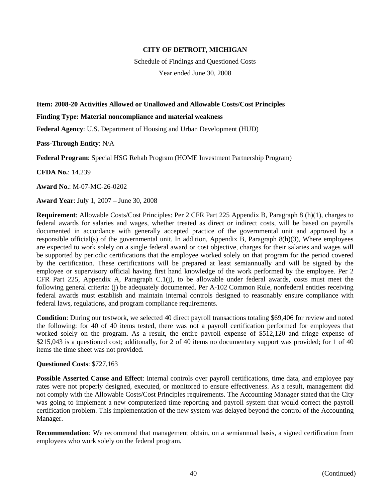Schedule of Findings and Questioned Costs

Year ended June 30, 2008

### **Item: 2008-20 Activities Allowed or Unallowed and Allowable Costs/Cost Principles**

### **Finding Type: Material noncompliance and material weakness**

**Federal Agency**: U.S. Department of Housing and Urban Development (HUD)

**Pass-Through Entity**: N/A

**Federal Program**: Special HSG Rehab Program (HOME Investment Partnership Program)

**CFDA No.**: 14.239

**Award No.**: M-07-MC-26-0202

**Award Year**: July 1, 2007 – June 30, 2008

**Requirement**: Allowable Costs/Cost Principles: Per 2 CFR Part 225 Appendix B, Paragraph 8 (h)(1), charges to federal awards for salaries and wages, whether treated as direct or indirect costs, will be based on payrolls documented in accordance with generally accepted practice of the governmental unit and approved by a responsible official(s) of the governmental unit. In addition, Appendix B, Paragraph 8(h)(3), Where employees are expected to work solely on a single federal award or cost objective, charges for their salaries and wages will be supported by periodic certifications that the employee worked solely on that program for the period covered by the certification. These certifications will be prepared at least semiannually and will be signed by the employee or supervisory official having first hand knowledge of the work performed by the employee. Per 2 CFR Part 225, Appendix A, Paragraph C.1(j), to be allowable under federal awards, costs must meet the following general criteria: (j) be adequately documented. Per A-102 Common Rule, nonfederal entities receiving federal awards must establish and maintain internal controls designed to reasonably ensure compliance with federal laws, regulations, and program compliance requirements.

**Condition**: During our testwork, we selected 40 direct payroll transactions totaling \$69,406 for review and noted the following: for 40 of 40 items tested, there was not a payroll certification performed for employees that worked solely on the program. As a result, the entire payroll expense of \$512,120 and fringe expense of \$215,043 is a questioned cost; additonally, for 2 of 40 items no documentary support was provided; for 1 of 40 items the time sheet was not provided.

# **Questioned Costs**: \$727,163

**Possible Asserted Cause and Effect**: Internal controls over payroll certifications, time data, and employee pay rates were not properly designed, executed, or monitored to ensure effectiveness. As a result, management did not comply with the Allowable Costs/Cost Principles requirements. The Accounting Manager stated that the City was going to implement a new computerized time reporting and payroll system that would correct the payroll certification problem. This implementation of the new system was delayed beyond the control of the Accounting Manager.

**Recommendation**: We recommend that management obtain, on a semiannual basis, a signed certification from employees who work solely on the federal program.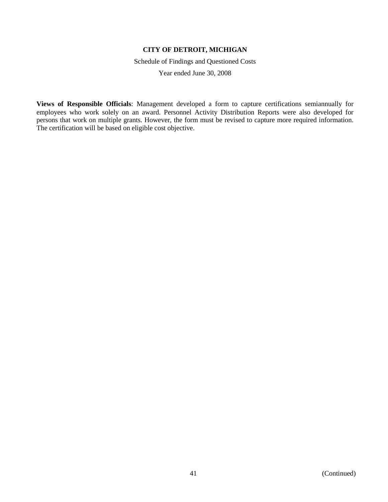Schedule of Findings and Questioned Costs

Year ended June 30, 2008

**Views of Responsible Officials**: Management developed a form to capture certifications semiannually for employees who work solely on an award. Personnel Activity Distribution Reports were also developed for persons that work on multiple grants. However, the form must be revised to capture more required information. The certification will be based on eligible cost objective.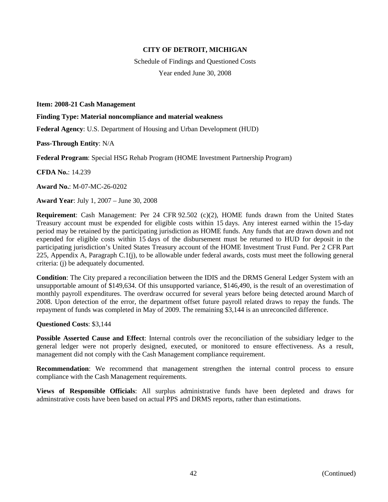Schedule of Findings and Questioned Costs Year ended June 30, 2008

**Item: 2008-21 Cash Management**

**Finding Type: Material noncompliance and material weakness**

**Federal Agency**: U.S. Department of Housing and Urban Development (HUD)

**Pass-Through Entity**: N/A

**Federal Program**: Special HSG Rehab Program (HOME Investment Partnership Program)

**CFDA No.**: 14.239

**Award No.**: M-07-MC-26-0202

**Award Year**: July 1, 2007 – June 30, 2008

**Requirement**: Cash Management: Per 24 CFR 92.502 (c)(2), HOME funds drawn from the United States Treasury account must be expended for eligible costs within 15 days. Any interest earned within the 15-day period may be retained by the participating jurisdiction as HOME funds. Any funds that are drawn down and not expended for eligible costs within 15 days of the disbursement must be returned to HUD for deposit in the participating jurisdiction's United States Treasury account of the HOME Investment Trust Fund. Per 2 CFR Part 225, Appendix A, Paragraph C.1(j), to be allowable under federal awards, costs must meet the following general criteria: (j) be adequately documented.

**Condition**: The City prepared a reconciliation between the IDIS and the DRMS General Ledger System with an unsupportable amount of \$149,634. Of this unsupported variance, \$146,490, is the result of an overestimation of monthly payroll expenditures. The overdraw occurred for several years before being detected around March of 2008. Upon detection of the error, the department offset future payroll related draws to repay the funds. The repayment of funds was completed in May of 2009. The remaining \$3,144 is an unreconciled difference.

**Questioned Costs**: \$3,144

**Possible Asserted Cause and Effect**: Internal controls over the reconciliation of the subsidiary ledger to the general ledger were not properly designed, executed, or monitored to ensure effectiveness. As a result, management did not comply with the Cash Management compliance requirement.

**Recommendation**: We recommend that management strengthen the internal control process to ensure compliance with the Cash Management requirements.

**Views of Responsible Officials**: All surplus administrative funds have been depleted and draws for adminstrative costs have been based on actual PPS and DRMS reports, rather than estimations.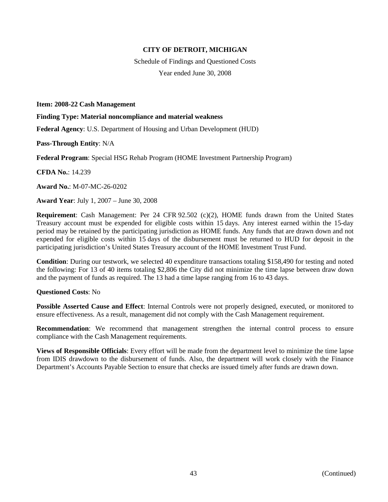Schedule of Findings and Questioned Costs Year ended June 30, 2008

**Item: 2008-22 Cash Management**

**Finding Type: Material noncompliance and material weakness**

**Federal Agency**: U.S. Department of Housing and Urban Development (HUD)

**Pass-Through Entity**: N/A

**Federal Program**: Special HSG Rehab Program (HOME Investment Partnership Program)

**CFDA No.**: 14.239

**Award No.**: M-07-MC-26-0202

**Award Year**: July 1, 2007 – June 30, 2008

**Requirement**: Cash Management: Per 24 CFR 92.502 (c)(2), HOME funds drawn from the United States Treasury account must be expended for eligible costs within 15 days. Any interest earned within the 15-day period may be retained by the participating jurisdiction as HOME funds. Any funds that are drawn down and not expended for eligible costs within 15 days of the disbursement must be returned to HUD for deposit in the participating jurisdiction's United States Treasury account of the HOME Investment Trust Fund.

**Condition**: During our testwork, we selected 40 expenditure transactions totaling \$158,490 for testing and noted the following: For 13 of 40 items totaling \$2,806 the City did not minimize the time lapse between draw down and the payment of funds as required. The 13 had a time lapse ranging from 16 to 43 days.

**Questioned Costs**: No

**Possible Asserted Cause and Effect**: Internal Controls were not properly designed, executed, or monitored to ensure effectiveness. As a result, management did not comply with the Cash Management requirement.

**Recommendation**: We recommend that management strengthen the internal control process to ensure compliance with the Cash Management requirements.

**Views of Responsible Officials**: Every effort will be made from the department level to minimize the time lapse from IDIS drawdown to the disbursement of funds. Also, the department will work closely with the Finance Department's Accounts Payable Section to ensure that checks are issued timely after funds are drawn down.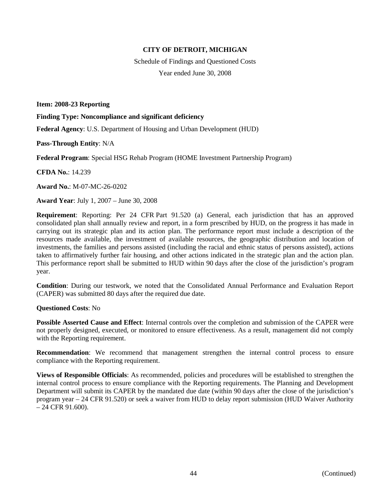Schedule of Findings and Questioned Costs Year ended June 30, 2008

**Item: 2008-23 Reporting**

**Finding Type: Noncompliance and significant deficiency**

**Federal Agency**: U.S. Department of Housing and Urban Development (HUD)

**Pass-Through Entity**: N/A

**Federal Program**: Special HSG Rehab Program (HOME Investment Partnership Program)

**CFDA No.**: 14.239

**Award No.**: M-07-MC-26-0202

**Award Year**: July 1, 2007 – June 30, 2008

**Requirement**: Reporting: Per 24 CFR Part 91.520 (a) General, each jurisdiction that has an approved consolidated plan shall annually review and report, in a form prescribed by HUD, on the progress it has made in carrying out its strategic plan and its action plan. The performance report must include a description of the resources made available, the investment of available resources, the geographic distribution and location of investments, the families and persons assisted (including the racial and ethnic status of persons assisted), actions taken to affirmatively further fair housing, and other actions indicated in the strategic plan and the action plan. This performance report shall be submitted to HUD within 90 days after the close of the jurisdiction's program year.

**Condition**: During our testwork, we noted that the Consolidated Annual Performance and Evaluation Report (CAPER) was submitted 80 days after the required due date.

#### **Questioned Costs**: No

**Possible Asserted Cause and Effect**: Internal controls over the completion and submission of the CAPER were not properly designed, executed, or monitored to ensure effectiveness. As a result, management did not comply with the Reporting requirement.

**Recommendation**: We recommend that management strengthen the internal control process to ensure compliance with the Reporting requirement.

**Views of Responsible Officials**: As recommended, policies and procedures will be established to strengthen the internal control process to ensure compliance with the Reporting requirements. The Planning and Development Department will submit its CAPER by the mandated due date (within 90 days after the close of the jurisdiction's program year – 24 CFR 91.520) or seek a waiver from HUD to delay report submission (HUD Waiver Authority – 24 CFR 91.600).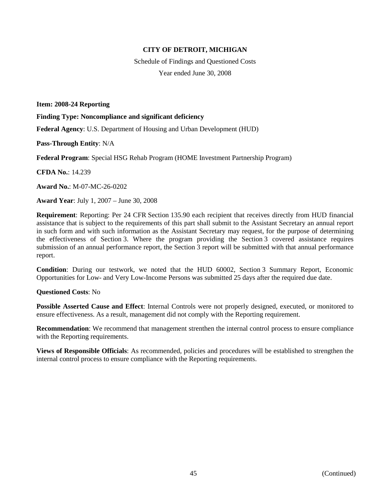Schedule of Findings and Questioned Costs Year ended June 30, 2008

**Item: 2008-24 Reporting**

**Finding Type: Noncompliance and significant deficiency**

**Federal Agency**: U.S. Department of Housing and Urban Development (HUD)

**Pass-Through Entity**: N/A

**Federal Program**: Special HSG Rehab Program (HOME Investment Partnership Program)

**CFDA No.**: 14.239

**Award No.**: M-07-MC-26-0202

**Award Year**: July 1, 2007 – June 30, 2008

**Requirement**: Reporting: Per 24 CFR Section 135.90 each recipient that receives directly from HUD financial assistance that is subject to the requirements of this part shall submit to the Assistant Secretary an annual report in such form and with such information as the Assistant Secretary may request, for the purpose of determining the effectiveness of Section 3. Where the program providing the Section 3 covered assistance requires submission of an annual performance report, the Section 3 report will be submitted with that annual performance report.

**Condition**: During our testwork, we noted that the HUD 60002, Section 3 Summary Report, Economic Opportunities for Low- and Very Low-Income Persons was submitted 25 days after the required due date.

**Questioned Costs**: No

**Possible Asserted Cause and Effect**: Internal Controls were not properly designed, executed, or monitored to ensure effectiveness. As a result, management did not comply with the Reporting requirement.

**Recommendation**: We recommend that management strenthen the internal control process to ensure compliance with the Reporting requirements.

**Views of Responsible Officials**: As recommended, policies and procedures will be established to strengthen the internal control process to ensure compliance with the Reporting requirements.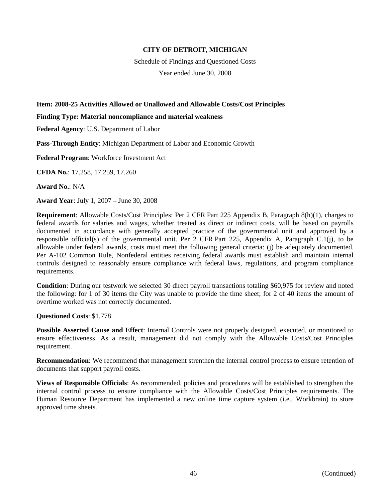Schedule of Findings and Questioned Costs

Year ended June 30, 2008

# **Item: 2008-25 Activities Allowed or Unallowed and Allowable Costs/Cost Principles**

**Finding Type: Material noncompliance and material weakness**

**Federal Agency**: U.S. Department of Labor

**Pass-Through Entity**: Michigan Department of Labor and Economic Growth

**Federal Program**: Workforce Investment Act

**CFDA No.**: 17.258, 17.259, 17.260

**Award No.**: N/A

**Award Year**: July 1, 2007 – June 30, 2008

**Requirement**: Allowable Costs/Cost Principles: Per 2 CFR Part 225 Appendix B, Paragraph 8(h)(1), charges to federal awards for salaries and wages, whether treated as direct or indirect costs, will be based on payrolls documented in accordance with generally accepted practice of the governmental unit and approved by a responsible official(s) of the governmental unit. Per 2 CFR Part 225, Appendix A, Paragraph C.1(j), to be allowable under federal awards, costs must meet the following general criteria: (j) be adequately documented. Per A-102 Common Rule, Nonfederal entities receiving federal awards must establish and maintain internal controls designed to reasonably ensure compliance with federal laws, regulations, and program compliance requirements.

**Condition**: During our testwork we selected 30 direct payroll transactions totaling \$60,975 for review and noted the following: for 1 of 30 items the City was unable to provide the time sheet; for 2 of 40 items the amount of overtime worked was not correctly documented.

**Questioned Costs**: \$1,778

**Possible Asserted Cause and Effect**: Internal Controls were not properly designed, executed, or monitored to ensure effectiveness. As a result, management did not comply with the Allowable Costs/Cost Principles requirement.

**Recommendation**: We recommend that management strenthen the internal control process to ensure retention of documents that support payroll costs.

**Views of Responsible Officials**: As recommended, policies and procedures will be established to strengthen the internal control process to ensure compliance with the Allowable Costs/Cost Principles requirements. The Human Resource Department has implemented a new online time capture system (i.e., Workbrain) to store approved time sheets.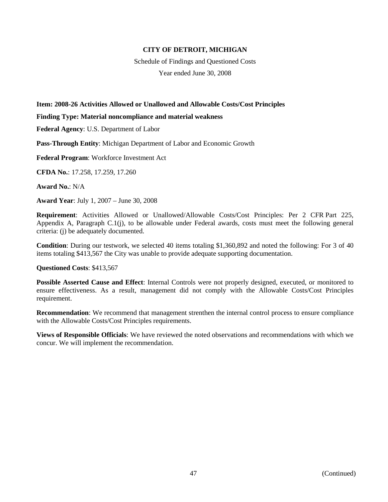Schedule of Findings and Questioned Costs Year ended June 30, 2008

### **Item: 2008-26 Activities Allowed or Unallowed and Allowable Costs/Cost Principles**

#### **Finding Type: Material noncompliance and material weakness**

**Federal Agency**: U.S. Department of Labor

**Pass-Through Entity**: Michigan Department of Labor and Economic Growth

**Federal Program**: Workforce Investment Act

**CFDA No.**: 17.258, 17.259, 17.260

**Award No.**: N/A

**Award Year**: July 1, 2007 – June 30, 2008

**Requirement**: Activities Allowed or Unallowed/Allowable Costs/Cost Principles: Per 2 CFR Part 225, Appendix A, Paragraph C.1(j), to be allowable under Federal awards, costs must meet the following general criteria: (j) be adequately documented.

**Condition**: During our testwork, we selected 40 items totaling \$1,360,892 and noted the following: For 3 of 40 items totaling \$413,567 the City was unable to provide adequate supporting documentation.

#### **Questioned Costs**: \$413,567

**Possible Asserted Cause and Effect**: Internal Controls were not properly designed, executed, or monitored to ensure effectiveness. As a result, management did not comply with the Allowable Costs/Cost Principles requirement.

**Recommendation**: We recommend that management strenthen the internal control process to ensure compliance with the Allowable Costs/Cost Principles requirements.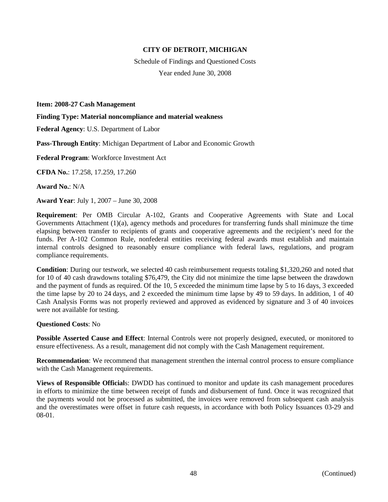Schedule of Findings and Questioned Costs Year ended June 30, 2008

**Item: 2008-27 Cash Management**

**Finding Type: Material noncompliance and material weakness**

**Federal Agency**: U.S. Department of Labor

**Pass-Through Entity**: Michigan Department of Labor and Economic Growth

**Federal Program**: Workforce Investment Act

**CFDA No.**: 17.258, 17.259, 17.260

**Award No.**: N/A

**Award Year**: July 1, 2007 – June 30, 2008

**Requirement**: Per OMB Circular A-102, Grants and Cooperative Agreements with State and Local Governments Attachment (1)(a), agency methods and procedures for transferring funds shall minimuze the time elapsing between transfer to recipients of grants and cooperative agreements and the recipient's need for the funds. Per A-102 Common Rule, nonfederal entities receiving federal awards must establish and maintain internal controls designed to reasonably ensure compliance with federal laws, regulations, and program compliance requirements.

**Condition**: During our testwork, we selected 40 cash reimbursement requests totaling \$1,320,260 and noted that for 10 of 40 cash drawdowns totaling \$76,479, the City did not minimize the time lapse between the drawdown and the payment of funds as required. Of the 10, 5 exceeded the minimum time lapse by 5 to 16 days, 3 exceeded the time lapse by 20 to 24 days, and 2 exceeded the minimum time lapse by 49 to 59 days. In addition, 1 of 40 Cash Analysis Forms was not properly reviewed and approved as evidenced by signature and 3 of 40 invoices were not available for testing.

### **Questioned Costs**: No

**Possible Asserted Cause and Effect**: Internal Controls were not properly designed, executed, or monitored to ensure effectiveness. As a result, management did not comply with the Cash Management requirement.

**Recommendation**: We recommend that management strenthen the internal control process to ensure compliance with the Cash Management requirements.

**Views of Responsible Official**s: DWDD has continued to monitor and update its cash management procedures in efforts to minimize the time between receipt of funds and disbursement of fund. Once it was recognized that the payments would not be processed as submitted, the invoices were removed from subsequent cash analysis and the overestimates were offset in future cash requests, in accordance with both Policy Issuances 03-29 and 08-01.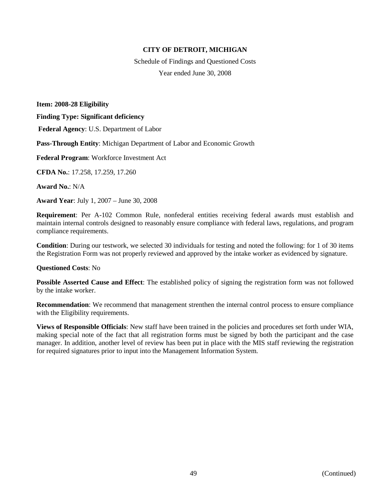Schedule of Findings and Questioned Costs Year ended June 30, 2008

**Item: 2008-28 Eligibility Finding Type: Significant deficiency Federal Agency**: U.S. Department of Labor **Pass-Through Entity**: Michigan Department of Labor and Economic Growth **Federal Program**: Workforce Investment Act **CFDA No.**: 17.258, 17.259, 17.260 **Award No.**: N/A

**Award Year**: July 1, 2007 – June 30, 2008

**Requirement**: Per A-102 Common Rule, nonfederal entities receiving federal awards must establish and maintain internal controls designed to reasonably ensure compliance with federal laws, regulations, and program compliance requirements.

**Condition**: During our testwork, we selected 30 individuals for testing and noted the following: for 1 of 30 items the Registration Form was not properly reviewed and approved by the intake worker as evidenced by signature.

#### **Questioned Costs**: No

**Possible Asserted Cause and Effect**: The established policy of signing the registration form was not followed by the intake worker.

**Recommendation**: We recommend that management strenthen the internal control process to ensure compliance with the Eligibility requirements.

**Views of Responsible Officials**: New staff have been trained in the policies and procedures set forth under WIA, making special note of the fact that all registration forms must be signed by both the participant and the case manager. In addition, another level of review has been put in place with the MIS staff reviewing the registration for required signatures prior to input into the Management Information System.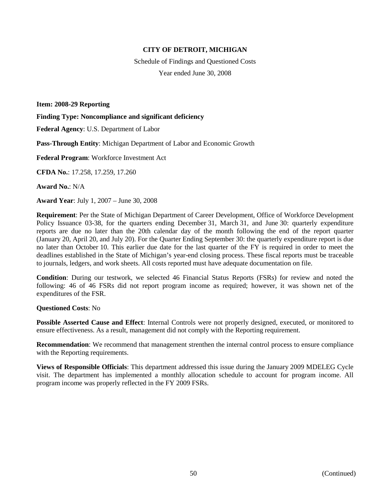Schedule of Findings and Questioned Costs Year ended June 30, 2008

**Item: 2008-29 Reporting**

**Finding Type: Noncompliance and significant deficiency**

**Federal Agency**: U.S. Department of Labor

**Pass-Through Entity**: Michigan Department of Labor and Economic Growth

**Federal Program**: Workforce Investment Act

**CFDA No.**: 17.258, 17.259, 17.260

**Award No.**: N/A

**Award Year**: July 1, 2007 – June 30, 2008

**Requirement**: Per the State of Michigan Department of Career Development, Office of Workforce Development Policy Issuance 03-38, for the quarters ending December 31, March 31, and June 30: quarterly expenditure reports are due no later than the 20th calendar day of the month following the end of the report quarter (January 20, April 20, and July 20). For the Quarter Ending September 30: the quarterly expenditure report is due no later than October 10. This earlier due date for the last quarter of the FY is required in order to meet the deadlines established in the State of Michigan's year-end closing process. These fiscal reports must be traceable to journals, ledgers, and work sheets. All costs reported must have adequate documentation on file.

**Condition**: During our testwork, we selected 46 Financial Status Reports (FSRs) for review and noted the following: 46 of 46 FSRs did not report program income as required; however, it was shown net of the expenditures of the FSR.

#### **Questioned Costs**: No

**Possible Asserted Cause and Effect**: Internal Controls were not properly designed, executed, or monitored to ensure effectiveness. As a result, management did not comply with the Reporting requirement.

**Recommendation**: We recommend that management strenthen the internal control process to ensure compliance with the Reporting requirements.

**Views of Responsible Officials**: This department addressed this issue during the January 2009 MDELEG Cycle visit. The department has implemented a monthly allocation schedule to account for program income. All program income was properly reflected in the FY 2009 FSRs.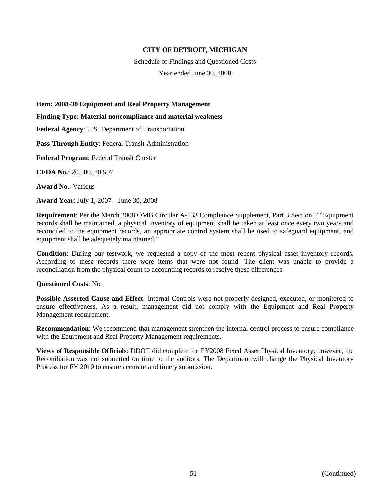Schedule of Findings and Questioned Costs Year ended June 30, 2008

**Item: 2008-30 Equipment and Real Property Management**

**Finding Type: Material noncompliance and material weakness**

**Federal Agency**: U.S. Department of Transportation

**Pass-Through Entity**: Federal Transit Administration

**Federal Program**: Federal Transit Cluster

**CFDA No.**: 20.500, 20.507

**Award No.**: Various

**Award Year**: July 1, 2007 – June 30, 2008

**Requirement**: Per the March 2008 OMB Circular A-133 Compliance Supplement, Part 3 Section F "Equipment records shall be maintained, a physical inventory of equipment shall be taken at least once every two years and reconciled to the equipment records, an appropriate control system shall be used to safeguard equipment, and equipment shall be adequately maintained."

**Condition**: During our testwork, we requested a copy of the most recent physical asset inventory records. According to these records there were items that were not found. The client was unable to provide a reconciliation from the physical count to accounting records to resolve these differences.

#### **Questioned Costs**: No

**Possible Asserted Cause and Effect**: Internal Controls were not properly designed, executed, or monitored to ensure effectiveness. As a result, management did not comply with the Equipment and Real Property Management requirement.

**Recommendation**: We recommend that management strenthen the internal control process to ensure compliance with the Equipment and Real Property Management requirements.

**Views of Responsible Officials**: DDOT did complete the FY2008 Fixed Asset Physical Inventory; however, the Reconiliation was not submitted on time to the auditors. The Department will change the Physical Inventory Process for FY 2010 to ensure accurate and timely submission.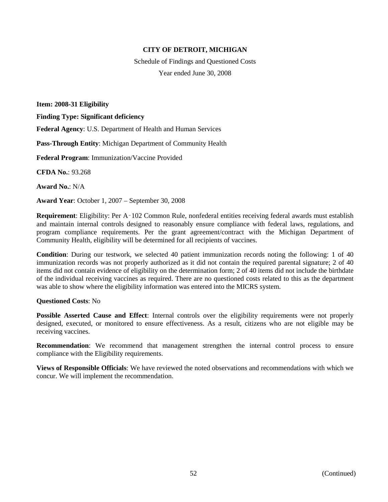Schedule of Findings and Questioned Costs Year ended June 30, 2008

**Item: 2008-31 Eligibility**

**Finding Type: Significant deficiency**

**Federal Agency**: U.S. Department of Health and Human Services

**Pass-Through Entity**: Michigan Department of Community Health

**Federal Program**: Immunization/Vaccine Provided

**CFDA No.**: 93.268

**Award No.**: N/A

**Award Year**: October 1, 2007 – September 30, 2008

**Requirement**: Eligibility: Per A‑102 Common Rule, nonfederal entities receiving federal awards must establish and maintain internal controls designed to reasonably ensure compliance with federal laws, regulations, and program compliance requirements. Per the grant agreement/contract with the Michigan Department of Community Health, eligibility will be determined for all recipients of vaccines.

**Condition**: During our testwork, we selected 40 patient immunization records noting the following: 1 of 40 immunization records was not properly authorized as it did not contain the required parental signature; 2 of 40 items did not contain evidence of eligibility on the determination form; 2 of 40 items did not include the birthdate of the individual receiving vaccines as required. There are no questioned costs related to this as the department was able to show where the eligibility information was entered into the MICRS system.

#### **Questioned Costs**: No

**Possible Asserted Cause and Effect**: Internal controls over the eligibility requirements were not properly designed, executed, or monitored to ensure effectiveness. As a result, citizens who are not eligible may be receiving vaccines.

**Recommendation**: We recommend that management strengthen the internal control process to ensure compliance with the Eligibility requirements.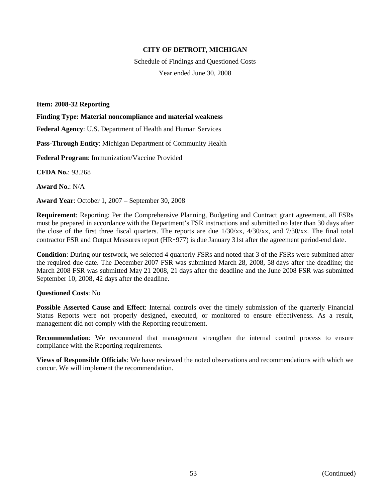Schedule of Findings and Questioned Costs Year ended June 30, 2008

**Item: 2008-32 Reporting**

**Finding Type: Material noncompliance and material weakness**

**Federal Agency**: U.S. Department of Health and Human Services

**Pass-Through Entity**: Michigan Department of Community Health

**Federal Program**: Immunization/Vaccine Provided

**CFDA No.**: 93.268

**Award No.**: N/A

**Award Year**: October 1, 2007 – September 30, 2008

**Requirement**: Reporting: Per the Comprehensive Planning, Budgeting and Contract grant agreement, all FSRs must be prepared in accordance with the Department's FSR instructions and submitted no later than 30 days after the close of the first three fiscal quarters. The reports are due 1/30/xx, 4/30/xx, and 7/30/xx. The final total contractor FSR and Output Measures report (HR‑977) is due January 31st after the agreement period-end date.

**Condition**: During our testwork, we selected 4 quarterly FSRs and noted that 3 of the FSRs were submitted after the required due date. The December 2007 FSR was submitted March 28, 2008, 58 days after the deadline; the March 2008 FSR was submitted May 21 2008, 21 days after the deadline and the June 2008 FSR was submitted September 10, 2008, 42 days after the deadline.

# **Questioned Costs**: No

**Possible Asserted Cause and Effect**: Internal controls over the timely submission of the quarterly Financial Status Reports were not properly designed, executed, or monitored to ensure effectiveness. As a result, management did not comply with the Reporting requirement.

**Recommendation**: We recommend that management strengthen the internal control process to ensure compliance with the Reporting requirements.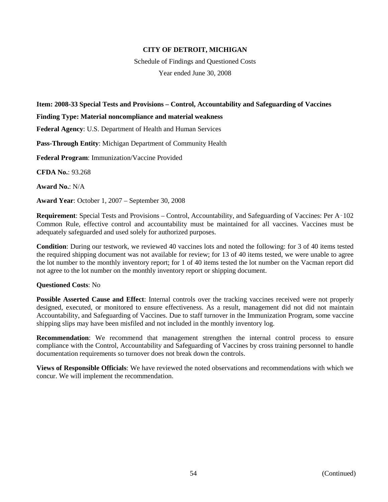Schedule of Findings and Questioned Costs Year ended June 30, 2008

### **Item: 2008-33 Special Tests and Provisions – Control, Accountability and Safeguarding of Vaccines**

#### **Finding Type: Material noncompliance and material weakness**

**Federal Agency**: U.S. Department of Health and Human Services

**Pass-Through Entity**: Michigan Department of Community Health

**Federal Program**: Immunization/Vaccine Provided

**CFDA No.**: 93.268

**Award No.**: N/A

**Award Year**: October 1, 2007 – September 30, 2008

**Requirement**: Special Tests and Provisions – Control, Accountability, and Safeguarding of Vaccines: Per A‑102 Common Rule, effective control and accountability must be maintained for all vaccines. Vaccines must be adequately safeguarded and used solely for authorized purposes.

**Condition**: During our testwork, we reviewed 40 vaccines lots and noted the following: for 3 of 40 items tested the required shipping document was not available for review; for 13 of 40 items tested, we were unable to agree the lot number to the monthly inventory report; for 1 of 40 items tested the lot number on the Vacman report did not agree to the lot number on the monthly inventory report or shipping document.

#### **Questioned Costs**: No

**Possible Asserted Cause and Effect**: Internal controls over the tracking vaccines received were not properly designed, executed, or monitored to ensure effectiveness. As a result, management did not did not maintain Accountability, and Safeguarding of Vaccines. Due to staff turnover in the Immunization Program, some vaccine shipping slips may have been misfiled and not included in the monthly inventory log.

**Recommendation**: We recommend that management strengthen the internal control process to ensure compliance with the Control, Accountability and Safeguarding of Vaccines by cross training personnel to handle documentation requirements so turnover does not break down the controls.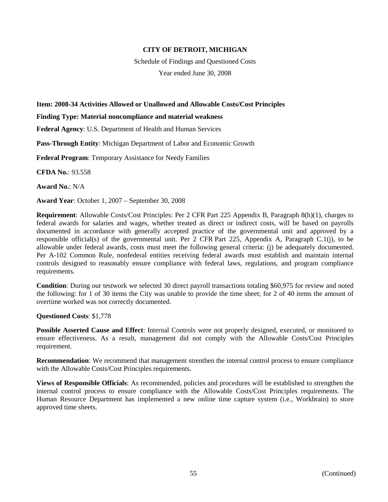Schedule of Findings and Questioned Costs

Year ended June 30, 2008

### **Item: 2008-34 Activities Allowed or Unallowed and Allowable Costs/Cost Principles**

**Finding Type: Material noncompliance and material weakness**

**Federal Agency**: U.S. Department of Health and Human Services

**Pass-Through Entity**: Michigan Department of Labor and Economic Growth

**Federal Program**: Temporary Assistance for Needy Families

**CFDA No.**: 93.558

**Award No.**: N/A

**Award Year**: October 1, 2007 – September 30, 2008

**Requirement**: Allowable Costs/Cost Principles: Per 2 CFR Part 225 Appendix B, Paragraph 8(h)(1), charges to federal awards for salaries and wages, whether treated as direct or indirect costs, will be based on payrolls documented in accordance with generally accepted practice of the governmental unit and approved by a responsible official(s) of the governmental unit. Per 2 CFR Part 225, Appendix A, Paragraph C.1(j), to be allowable under federal awards, costs must meet the following general criteria: (j) be adequately documented. Per A-102 Common Rule, nonfederal entities receiving federal awards must establish and maintain internal controls designed to reasonably ensure compliance with federal laws, regulations, and program compliance requirements.

**Condition**: During our testwork we selected 30 direct payroll transactions totaling \$60,975 for review and noted the following: for 1 of 30 items the City was unable to provide the time sheet; for 2 of 40 items the amount of overtime worked was not correctly documented.

**Questioned Costs**: \$1,778

**Possible Asserted Cause and Effect**: Internal Controls were not properly designed, executed, or monitored to ensure effectiveness. As a result, management did not comply with the Allowable Costs/Cost Principles requirement.

**Recommendation**: We recommend that management strenthen the internal control process to ensure compliance with the Allowable Costs/Cost Principles requirements.

**Views of Responsible Officials**: As recommended, policies and procedures will be established to strengthen the internal control process to ensure compliance with the Allowable Costs/Cost Principles requirements. The Human Resource Department has implemented a new online time capture system (i.e., Workbrain) to store approved time sheets.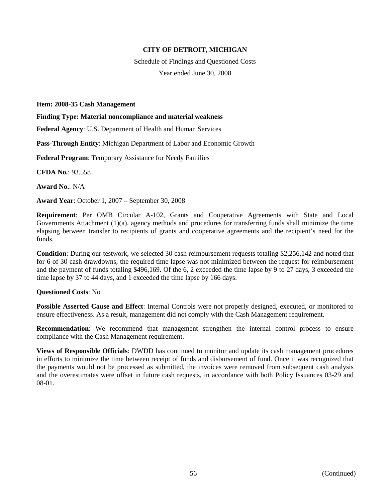Schedule of Findings and Questioned Costs Year ended June 30, 2008

**Item: 2008-35 Cash Management**

**Finding Type: Material noncompliance and material weakness**

**Federal Agency**: U.S. Department of Health and Human Services

**Pass-Through Entity**: Michigan Department of Labor and Economic Growth

**Federal Program**: Temporary Assistance for Needy Families

**CFDA No.**: 93.558

**Award No.**: N/A

**Award Year**: October 1, 2007 – September 30, 2008

**Requirement**: Per OMB Circular A-102, Grants and Cooperative Agreements with State and Local Governments Attachment (1)(a), agency methods and procedures for transferring funds shall minimize the time elapsing between transfer to recipients of grants and cooperative agreements and the recipient's need for the funds.

**Condition**: During our testwork, we selected 30 cash reimbursement requests totaling \$2,256,142 and noted that for 6 of 30 cash drawdowns, the required time lapse was not minimized between the request for reimbursement and the payment of funds totaling \$496,169. Of the 6, 2 exceeded the time lapse by 9 to 27 days, 3 exceeded the time lapse by 37 to 44 days, and 1 exceeded the time lapse by 166 days.

#### **Questioned Costs**: No

**Possible Asserted Cause and Effect**: Internal Controls were not properly designed, executed, or monitored to ensure effectiveness. As a result, management did not comply with the Cash Management requirement.

**Recommendation:** We recommend that management strengthen the internal control process to ensure compliance with the Cash Management requirement.

**Views of Responsible Officials**: DWDD has continued to monitor and update its cash management procedures in efforts to minimize the time between receipt of funds and disbursement of fund. Once it was recognized that the payments would not be processed as submitted, the invoices were removed from subsequent cash analysis and the overestimates were offset in future cash requests, in accordance with both Policy Issuances 03-29 and 08-01.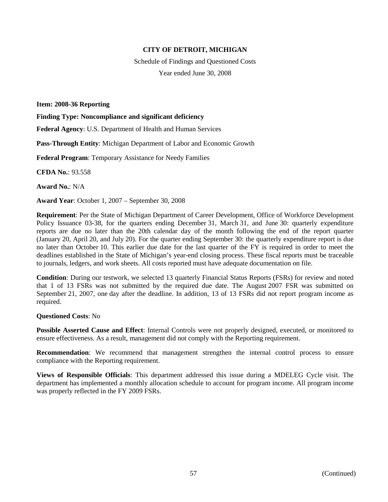Schedule of Findings and Questioned Costs Year ended June 30, 2008

**Item: 2008-36 Reporting**

**Finding Type: Noncompliance and significant deficiency**

**Federal Agency**: U.S. Department of Health and Human Services

**Pass-Through Entity**: Michigan Department of Labor and Economic Growth

**Federal Program**: Temporary Assistance for Needy Families

**CFDA No.**: 93.558

**Award No.**: N/A

**Award Year**: October 1, 2007 – September 30, 2008

**Requirement**: Per the State of Michigan Department of Career Development, Office of Workforce Development Policy Issuance 03-38, for the quarters ending December 31, March 31, and June 30: quarterly expenditure reports are due no later than the 20th calendar day of the month following the end of the report quarter (January 20, April 20, and July 20). For the quarter ending September 30: the quarterly expenditure report is due no later than October 10. This earlier due date for the last quarter of the FY is required in order to meet the deadlines established in the State of Michigan's year-end closing process. These fiscal reports must be traceable to journals, ledgers, and work sheets. All costs reported must have adequate documentation on file.

**Condition**: During our testwork, we selected 13 quarterly Financial Status Reports (FSRs) for review and noted that 1 of 13 FSRs was not submitted by the required due date. The August 2007 FSR was submitted on September 21, 2007, one day after the deadline. In addition, 13 of 13 FSRs did not report program income as required.

**Questioned Costs**: No

**Possible Asserted Cause and Effect**: Internal Controls were not properly designed, executed, or monitored to ensure effectiveness. As a result, management did not comply with the Reporting requirement.

**Recommendation**: We recommend that management strengthen the internal control process to ensure compliance with the Reporting requirement.

**Views of Responsible Officials**: This department addressed this issue during a MDELEG Cycle visit. The department has implemented a monthly allocation schedule to account for program income. All program income was properly reflected in the FY 2009 FSRs.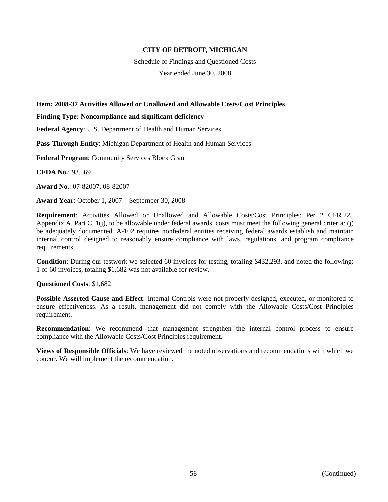Schedule of Findings and Questioned Costs Year ended June 30, 2008

### **Item: 2008-37 Activities Allowed or Unallowed and Allowable Costs/Cost Principles**

**Finding Type: Noncompliance and significant deficiency**

**Federal Agency**: U.S. Department of Health and Human Services

**Pass-Through Entity**: Michigan Department of Health and Human Services

**Federal Program**: Community Services Block Grant

**CFDA No.**: 93.569

**Award No.**: 07-82007, 08-82007

**Award Year**: October 1, 2007 – September 30, 2008

**Requirement**: Activities Allowed or Unallowed and Allowable Costs/Cost Principles: Per 2 CFR 225 Appendix A, Part C, 1(j), to be allowable under federal awards, costs must meet the following general criteria: (j) be adequately documented. A-102 requires nonfederal entities receiving federal awards establish and maintain internal control designed to reasonably ensure compliance with laws, regulations, and program compliance requirements.

**Condition**: During our testwork we selected 60 invoices for testing, totaling \$432,293, and noted the following: 1 of 60 invoices, totaling \$1,682 was not available for review.

**Questioned Costs**: \$1,682

**Possible Asserted Cause and Effect**: Internal Controls were not properly designed, executed, or monitored to ensure effectiveness. As a result, management did not comply with the Allowable Costs/Cost Principles requirement.

**Recommendation**: We recommend that management strengthen the internal control process to ensure compliance with the Allowable Costs/Cost Principles requirement.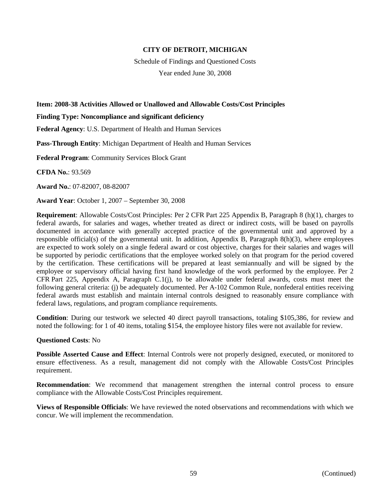Schedule of Findings and Questioned Costs

Year ended June 30, 2008

### **Item: 2008-38 Activities Allowed or Unallowed and Allowable Costs/Cost Principles**

**Finding Type: Noncompliance and significant deficiency**

**Federal Agency**: U.S. Department of Health and Human Services

**Pass-Through Entity**: Michigan Department of Health and Human Services

**Federal Program**: Community Services Block Grant

**CFDA No.**: 93.569

**Award No.**: 07-82007, 08-82007

**Award Year**: October 1, 2007 – September 30, 2008

**Requirement**: Allowable Costs/Cost Principles: Per 2 CFR Part 225 Appendix B, Paragraph 8 (h)(1), charges to federal awards, for salaries and wages, whether treated as direct or indirect costs, will be based on payrolls documented in accordance with generally accepted practice of the governmental unit and approved by a responsible official(s) of the governmental unit. In addition, Appendix B, Paragraph 8(h)(3), where employees are expected to work solely on a single federal award or cost objective, charges for their salaries and wages will be supported by periodic certifications that the employee worked solely on that program for the period covered by the certification. These certifications will be prepared at least semiannually and will be signed by the employee or supervisory official having first hand knowledge of the work performed by the employee. Per 2 CFR Part 225, Appendix A, Paragraph C.1(j), to be allowable under federal awards, costs must meet the following general criteria: (j) be adequately documented. Per A-102 Common Rule, nonfederal entities receiving federal awards must establish and maintain internal controls designed to reasonably ensure compliance with federal laws, regulations, and program compliance requirements.

**Condition**: During our testwork we selected 40 direct payroll transactions, totaling \$105,386, for review and noted the following: for 1 of 40 items, totaling \$154, the employee history files were not available for review.

#### **Questioned Costs**: No

**Possible Asserted Cause and Effect**: Internal Controls were not properly designed, executed, or monitored to ensure effectiveness. As a result, management did not comply with the Allowable Costs/Cost Principles requirement.

**Recommendation**: We recommend that management strengthen the internal control process to ensure compliance with the Allowable Costs/Cost Principles requirement.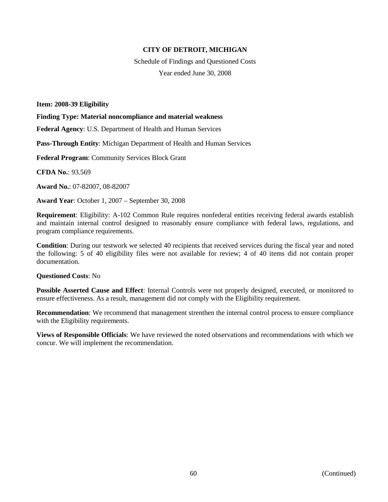Schedule of Findings and Questioned Costs Year ended June 30, 2008

**Item: 2008-39 Eligibility**

**Finding Type: Material noncompliance and material weakness**

**Federal Agency**: U.S. Department of Health and Human Services

**Pass-Through Entity**: Michigan Department of Health and Human Services

**Federal Program**: Community Services Block Grant

**CFDA No.**: 93.569

**Award No.**: 07-82007, 08-82007

**Award Year**: October 1, 2007 – September 30, 2008

**Requirement**: Eligibility: A-102 Common Rule requires nonfederal entities receiving federal awards establish and maintain internal control designed to reasonably ensure compliance with federal laws, regulations, and program compliance requirements.

**Condition**: During our testwork we selected 40 recipients that received services during the fiscal year and noted the following: 5 of 40 eligibility files were not available for review; 4 of 40 items did not contain proper documentation.

#### **Questioned Costs**: No

**Possible Asserted Cause and Effect**: Internal Controls were not properly designed, executed, or monitored to ensure effectiveness. As a result, management did not comply with the Eligibility requirement.

**Recommendation**: We recommend that management strenthen the internal control process to ensure compliance with the Eligibility requirements.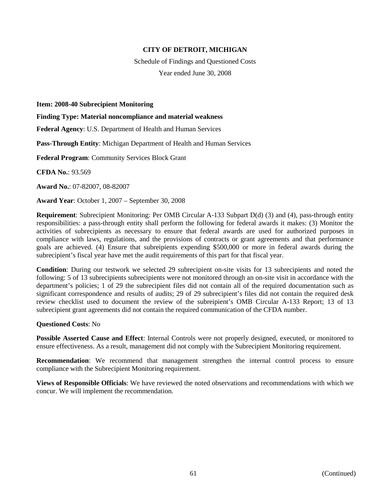Schedule of Findings and Questioned Costs Year ended June 30, 2008

**Item: 2008-40 Subrecipient Monitoring**

**Finding Type: Material noncompliance and material weakness**

**Federal Agency**: U.S. Department of Health and Human Services

**Pass-Through Entity**: Michigan Department of Health and Human Services

**Federal Program**: Community Services Block Grant

**CFDA No.**: 93.569

**Award No.**: 07-82007, 08-82007

**Award Year**: October 1, 2007 – September 30, 2008

**Requirement**: Subrecipient Monitoring: Per OMB Circular A-133 Subpart D(d) (3) and (4), pass-through entity responsibilities: a pass-through entity shall perform the following for federal awards it makes: (3) Monitor the activities of subrecipients as necessary to ensure that federal awards are used for authorized purposes in compliance with laws, regulations, and the provisions of contracts or grant agreements and that performance goals are achieved. (4) Ensure that subreipients expending \$500,000 or more in federal awards during the subrecipient's fiscal year have met the audit requirements of this part for that fiscal year.

**Condition**: During our testwork we selected 29 subrecipient on-site visits for 13 subrecipients and noted the following: 5 of 13 subrecipients subrecipients were not monitored through an on-site visit in accordance with the department's policies; 1 of 29 the subrecipient files did not contain all of the required documentation such as significant correspondence and results of audits; 29 of 29 subrecipient's files did not contain the required desk review checklist used to document the review of the subreipient's OMB Circular A-133 Report; 13 of 13 subrecipient grant agreements did not contain the required communication of the CFDA number.

### **Questioned Costs**: No

**Possible Asserted Cause and Effect**: Internal Controls were not properly designed, executed, or monitored to ensure effectiveness. As a result, management did not comply with the Subrecipient Monitoring requirement.

**Recommendation**: We recommend that management strengthen the internal control process to ensure compliance with the Subrecipient Monitoring requirement.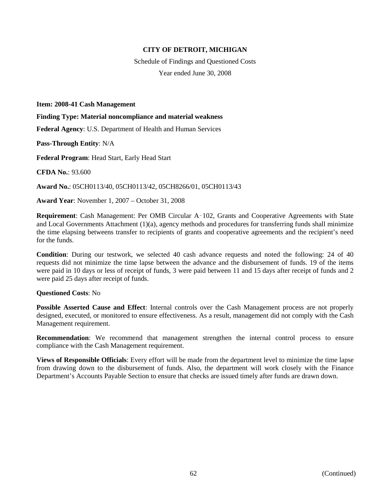Schedule of Findings and Questioned Costs Year ended June 30, 2008

**Item: 2008-41 Cash Management**

**Finding Type: Material noncompliance and material weakness**

**Federal Agency**: U.S. Department of Health and Human Services

**Pass-Through Entity**: N/A

**Federal Program**: Head Start, Early Head Start

**CFDA No.**: 93.600

**Award No.**: 05CH0113/40, 05CH0113/42, 05CH8266/01, 05CH0113/43

**Award Year**: November 1, 2007 – October 31, 2008

**Requirement**: Cash Management: Per OMB Circular A‑102, Grants and Cooperative Agreements with State and Local Governments Attachment (1)(a), agency methods and procedures for transferring funds shall minimize the time elapsing betweens transfer to recipients of grants and cooperative agreements and the recipient's need for the funds.

**Condition**: During our testwork, we selected 40 cash advance requests and noted the following: 24 of 40 requests did not minimize the time lapse between the advance and the disbursement of funds. 19 of the items were paid in 10 days or less of receipt of funds, 3 were paid between 11 and 15 days after receipt of funds and 2 were paid 25 days after receipt of funds.

#### **Questioned Costs**: No

**Possible Asserted Cause and Effect**: Internal controls over the Cash Management process are not properly designed, executed, or monitored to ensure effectiveness. As a result, management did not comply with the Cash Management requirement.

**Recommendation**: We recommend that management strengthen the internal control process to ensure compliance with the Cash Management requirement.

**Views of Responsible Officials**: Every effort will be made from the department level to minimize the time lapse from drawing down to the disbursement of funds. Also, the department will work closely with the Finance Department's Accounts Payable Section to ensure that checks are issued timely after funds are drawn down.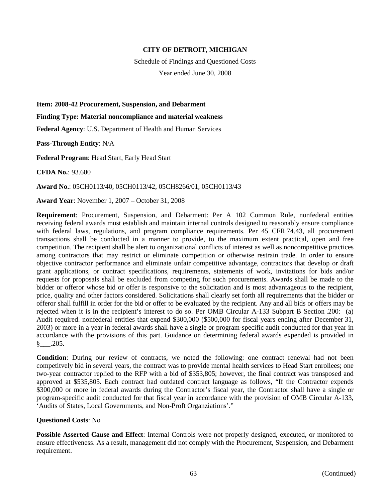Schedule of Findings and Questioned Costs Year ended June 30, 2008

**Item: 2008-42 Procurement, Suspension, and Debarment**

**Finding Type: Material noncompliance and material weakness**

**Federal Agency**: U.S. Department of Health and Human Services

**Pass-Through Entity**: N/A

**Federal Program**: Head Start, Early Head Start

**CFDA No.**: 93.600

**Award No.**: 05CH0113/40, 05CH0113/42, 05CH8266/01, 05CH0113/43

**Award Year**: November 1, 2007 – October 31, 2008

**Requirement**: Procurement, Suspension, and Debarment: Per A 102 Common Rule, nonfederal entities receiving federal awards must establish and maintain internal controls designed to reasonably ensure compliance with federal laws, regulations, and program compliance requirements. Per 45 CFR 74.43, all procurement transactions shall be conducted in a manner to provide, to the maximum extent practical, open and free competition. The recipient shall be alert to organizational conflicts of interest as well as noncompetitive practices among contractors that may restrict or eliminate competition or otherwise restrain trade. In order to ensure objective contractor performance and eliminate unfair competitive advantage, contractors that develop or draft grant applications, or contract specifications, requirements, statements of work, invitations for bids and/or requests for proposals shall be excluded from competing for such procurements. Awards shall be made to the bidder or offeror whose bid or offer is responsive to the solicitation and is most advantageous to the recipient, price, quality and other factors considered. Solicitations shall clearly set forth all requirements that the bidder or offeror shall fulfill in order for the bid or offer to be evaluated by the recipient. Any and all bids or offers may be rejected when it is in the recipient's interest to do so. Per OMB Circular A-133 Subpart B Section .200: (a) Audit required. nonfederal entities that expend \$300,000 (\$500,000 for fiscal years ending after December 31, 2003) or more in a year in federal awards shall have a single or program-specific audit conducted for that year in accordance with the provisions of this part. Guidance on determining federal awards expended is provided in §\_\_\_.205.

**Condition**: During our review of contracts, we noted the following: one contract renewal had not been competitvely bid in several years, the contract was to provide mental health services to Head Start enrollees; one two-year contractor replied to the RFP with a bid of \$353,805; however, the final contract was transposed and approved at \$535,805. Each contract had outdated contract language as follows, "If the Contractor expends \$300,000 or more in federal awards during the Contractor's fiscal year, the Contractor shall have a single or program-specific audit conducted for that fiscal year in accordance with the provision of OMB Circular A-133, 'Audits of States, Local Governments, and Non-Proft Organziations'."

#### **Questioned Costs**: No

**Possible Asserted Cause and Effect**: Internal Controls were not properly designed, executed, or monitored to ensure effectiveness. As a result, management did not comply with the Procurement, Suspension, and Debarment requirement.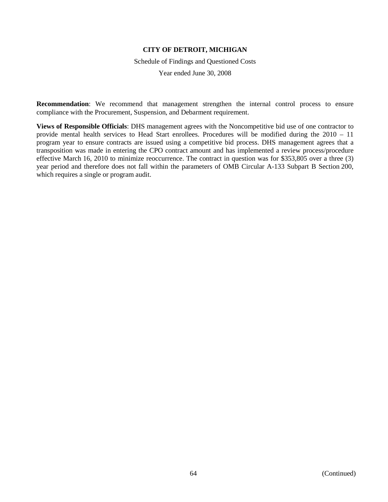Schedule of Findings and Questioned Costs

Year ended June 30, 2008

**Recommendation**: We recommend that management strengthen the internal control process to ensure compliance with the Procurement, Suspension, and Debarment requirement.

**Views of Responsible Officials**: DHS management agrees with the Noncompetitive bid use of one contractor to provide mental health services to Head Start enrollees. Procedures will be modified during the 2010 – 11 program year to ensure contracts are issued using a competitive bid process. DHS management agrees that a transposition was made in entering the CPO contract amount and has implemented a review process/procedure effective March 16, 2010 to minimize reoccurrence. The contract in question was for \$353,805 over a three (3) year period and therefore does not fall within the parameters of OMB Circular A-133 Subpart B Section 200, which requires a single or program audit.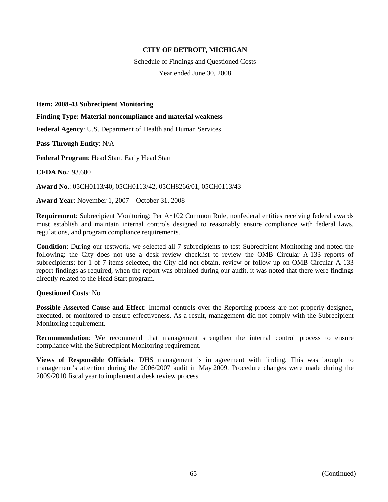Schedule of Findings and Questioned Costs Year ended June 30, 2008

**Item: 2008-43 Subrecipient Monitoring**

**Finding Type: Material noncompliance and material weakness**

**Federal Agency**: U.S. Department of Health and Human Services

**Pass-Through Entity**: N/A

**Federal Program**: Head Start, Early Head Start

**CFDA No.**: 93.600

**Award No.**: 05CH0113/40, 05CH0113/42, 05CH8266/01, 05CH0113/43

**Award Year**: November 1, 2007 – October 31, 2008

**Requirement**: Subrecipient Monitoring: Per A‑102 Common Rule, nonfederal entities receiving federal awards must establish and maintain internal controls designed to reasonably ensure compliance with federal laws, regulations, and program compliance requirements.

**Condition**: During our testwork, we selected all 7 subrecipients to test Subrecipient Monitoring and noted the following: the City does not use a desk review checklist to review the OMB Circular A-133 reports of subrecipients; for 1 of 7 items selected, the City did not obtain, review or follow up on OMB Circular A-133 report findings as required, when the report was obtained during our audit, it was noted that there were findings directly related to the Head Start program.

#### **Questioned Costs**: No

**Possible Asserted Cause and Effect**: Internal controls over the Reporting process are not properly designed, executed, or monitored to ensure effectiveness. As a result, management did not comply with the Subrecipient Monitoring requirement.

**Recommendation**: We recommend that management strengthen the internal control process to ensure compliance with the Subrecipient Monitoring requirement.

**Views of Responsible Officials**: DHS management is in agreement with finding. This was brought to management's attention during the 2006/2007 audit in May 2009. Procedure changes were made during the 2009/2010 fiscal year to implement a desk review process.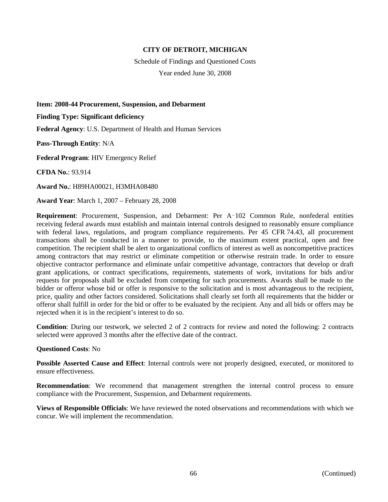Schedule of Findings and Questioned Costs Year ended June 30, 2008

**Item: 2008-44 Procurement, Suspension, and Debarment**

**Finding Type: Significant deficiency**

**Federal Agency**: U.S. Department of Health and Human Services

**Pass-Through Entity**: N/A

**Federal Program**: HIV Emergency Relief

**CFDA No.**: 93.914

**Award No.**: H89HA00021, H3MHA08480

**Award Year**: March 1, 2007 – February 28, 2008

**Requirement**: Procurement, Suspension, and Debarment: Per A‑102 Common Rule, nonfederal entities receiving federal awards must establish and maintain internal controls designed to reasonably ensure compliance with federal laws, regulations, and program compliance requirements. Per 45 CFR 74.43, all procurement transactions shall be conducted in a manner to provide, to the maximum extent practical, open and free competition. The recipient shall be alert to organizational conflicts of interest as well as noncompetitive practices among contractors that may restrict or eliminate competition or otherwise restrain trade. In order to ensure objective contractor performance and eliminate unfair competitive advantage, contractors that develop or draft grant applications, or contract specifications, requirements, statements of work, invitations for bids and/or requests for proposals shall be excluded from competing for such procurements. Awards shall be made to the bidder or offeror whose bid or offer is responsive to the solicitation and is most advantageous to the recipient, price, quality and other factors considered. Solicitations shall clearly set forth all requirements that the bidder or offeror shall fulfill in order for the bid or offer to be evaluated by the recipient. Any and all bids or offers may be rejected when it is in the recipient's interest to do so.

**Condition**: During our testwork, we selected 2 of 2 contracts for review and noted the following: 2 contracts selected were approved 3 months after the effective date of the contract.

#### **Questioned Costs**: No

**Possible Asserted Cause and Effect**: Internal controls were not properly designed, executed, or monitored to ensure effectiveness.

**Recommendation**: We recommend that management strengthen the internal control process to ensure compliance with the Procurement, Suspension, and Debarment requirements.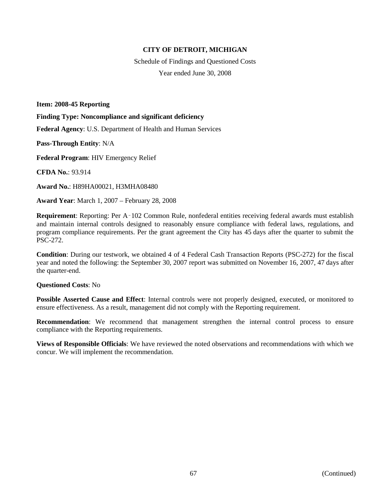Schedule of Findings and Questioned Costs Year ended June 30, 2008

**Item: 2008-45 Reporting**

**Finding Type: Noncompliance and significant deficiency**

**Federal Agency**: U.S. Department of Health and Human Services

**Pass-Through Entity**: N/A

**Federal Program**: HIV Emergency Relief

**CFDA No.**: 93.914

**Award No.**: H89HA00021, H3MHA08480

**Award Year**: March 1, 2007 – February 28, 2008

**Requirement**: Reporting: Per A‑102 Common Rule, nonfederal entities receiving federal awards must establish and maintain internal controls designed to reasonably ensure compliance with federal laws, regulations, and program compliance requirements. Per the grant agreement the City has 45 days after the quarter to submit the PSC-272.

**Condition**: During our testwork, we obtained 4 of 4 Federal Cash Transaction Reports (PSC-272) for the fiscal year and noted the following: the September 30, 2007 report was submitted on November 16, 2007, 47 days after the quarter-end.

#### **Questioned Costs**: No

**Possible Asserted Cause and Effect**: Internal controls were not properly designed, executed, or monitored to ensure effectiveness. As a result, management did not comply with the Reporting requirement.

**Recommendation**: We recommend that management strengthen the internal control process to ensure compliance with the Reporting requirements.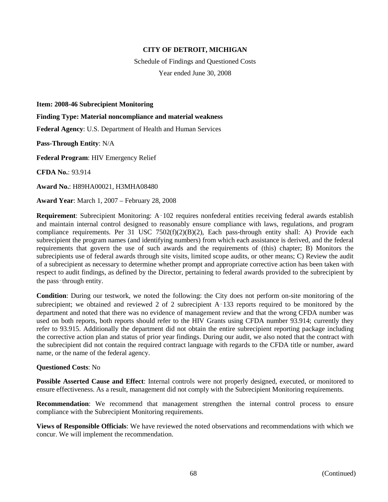Schedule of Findings and Questioned Costs Year ended June 30, 2008

**Item: 2008-46 Subrecipient Monitoring**

**Finding Type: Material noncompliance and material weakness**

**Federal Agency**: U.S. Department of Health and Human Services

**Pass-Through Entity**: N/A

**Federal Program**: HIV Emergency Relief

**CFDA No.**: 93.914

**Award No.**: H89HA00021, H3MHA08480

**Award Year**: March 1, 2007 – February 28, 2008

**Requirement**: Subrecipient Monitoring: A-102 requires nonfederal entities receiving federal awards establish and maintain internal control designed to reasonably ensure compliance with laws, regulations, and program compliance requirements. Per 31 USC  $7502(f)(2)(B)(2)$ , Each pass-through entity shall: A) Provide each subrecipient the program names (and identifying numbers) from which each assistance is derived, and the federal requirements that govern the use of such awards and the requirements of (this) chapter; B) Monitors the subrecipients use of federal awards through site visits, limited scope audits, or other means; C) Review the audit of a subrecipient as necessary to determine whether prompt and appropriate corrective action has been taken with respect to audit findings, as defined by the Director, pertaining to federal awards provided to the subrecipient by the pass‑through entity.

**Condition**: During our testwork, we noted the following: the City does not perform on-site monitoring of the subrecipient; we obtained and reviewed 2 of 2 subrecipient A–133 reports required to be monitored by the department and noted that there was no evidence of management review and that the wrong CFDA number was used on both reports, both reports should refer to the HIV Grants using CFDA number 93.914; currently they refer to 93.915. Additionally the department did not obtain the entire subrecipient reporting package including the corrective action plan and status of prior year findings. During our audit, we also noted that the contract with the subrecipient did not contain the required contract language with regards to the CFDA title or number, award name, or the name of the federal agency.

#### **Questioned Costs**: No

**Possible Asserted Cause and Effect**: Internal controls were not properly designed, executed, or monitored to ensure effectiveness. As a result, management did not comply with the Subrecipient Monitoring requirements.

**Recommendation**: We recommend that management strengthen the internal control process to ensure compliance with the Subrecipient Monitoring requirements.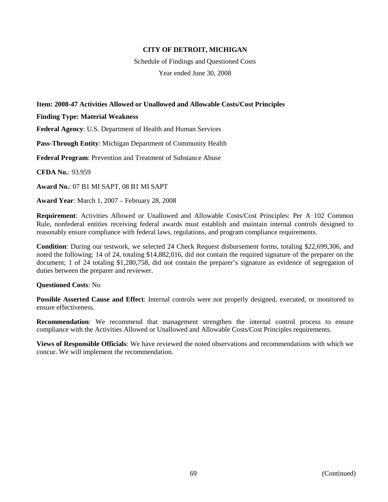Schedule of Findings and Questioned Costs Year ended June 30, 2008

# **Item: 2008-47 Activities Allowed or Unallowed and Allowable Costs/Cost Principles**

**Finding Type: Material Weakness**

**Federal Agency**: U.S. Department of Health and Human Services

**Pass-Through Entity**: Michigan Department of Community Health

**Federal Program**: Prevention and Treatment of Substance Abuse

**CFDA No.**: 93.959

**Award No.**: 07 B1 MI SAPT, 08 B1 MI SAPT

**Award Year**: March 1, 2007 – February 28, 2008

**Requirement**: Activities Allowed or Unallowed and Allowable Costs/Cost Principles: Per A–102 Common Rule, nonfederal entities receiving federal awards must establish and maintain internal controls designed to reasonably ensure compliance with federal laws, regulations, and program compliance requirements.

**Condition**: During our testwork, we selected 24 Check Request disbursement forms, totaling \$22,699,306, and noted the following: 14 of 24, totaling \$14,882,016, did not contain the required signature of the preparer on the document; 1 of 24 totaling \$1,280,758, did not contain the preparer's signature as evidence of segregation of duties between the preparer and reviewer.

# **Questioned Costs**: No

**Possible Asserted Cause and Effect**: Internal controls were not properly designed, executed, or monitored to ensure effectiveness.

**Recommendation**: We recommend that management strengthen the internal control process to ensure compliance with the Activities Allowed or Unallowed and Allowable Costs/Cost Principles requirements.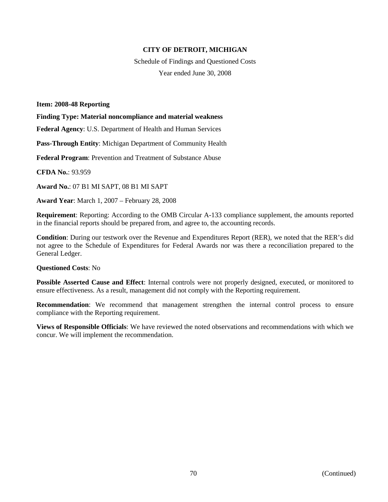Schedule of Findings and Questioned Costs Year ended June 30, 2008

**Item: 2008-48 Reporting**

**Finding Type: Material noncompliance and material weakness**

**Federal Agency**: U.S. Department of Health and Human Services

**Pass-Through Entity**: Michigan Department of Community Health

**Federal Program**: Prevention and Treatment of Substance Abuse

**CFDA No.**: 93.959

**Award No.**: 07 B1 MI SAPT, 08 B1 MI SAPT

**Award Year**: March 1, 2007 – February 28, 2008

**Requirement**: Reporting: According to the OMB Circular A-133 compliance supplement, the amounts reported in the financial reports should be prepared from, and agree to, the accounting records.

**Condition**: During our testwork over the Revenue and Expenditures Report (RER), we noted that the RER's did not agree to the Schedule of Expenditures for Federal Awards nor was there a reconciliation prepared to the General Ledger.

#### **Questioned Costs**: No

**Possible Asserted Cause and Effect**: Internal controls were not properly designed, executed, or monitored to ensure effectiveness. As a result, management did not comply with the Reporting requirement.

**Recommendation**: We recommend that management strengthen the internal control process to ensure compliance with the Reporting requirement.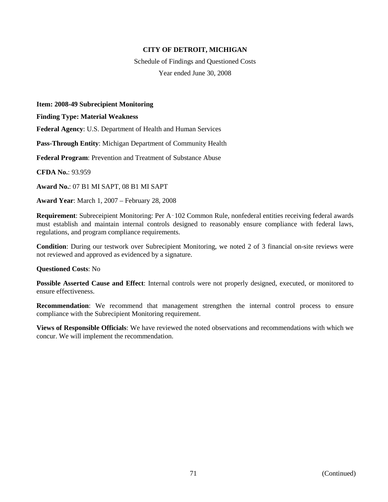Schedule of Findings and Questioned Costs Year ended June 30, 2008

**Item: 2008-49 Subrecipient Monitoring**

**Finding Type: Material Weakness**

**Federal Agency**: U.S. Department of Health and Human Services

**Pass-Through Entity**: Michigan Department of Community Health

**Federal Program**: Prevention and Treatment of Substance Abuse

**CFDA No.**: 93.959

**Award No.**: 07 B1 MI SAPT, 08 B1 MI SAPT

**Award Year**: March 1, 2007 – February 28, 2008

**Requirement**: Subreceipient Monitoring: Per A‑102 Common Rule, nonfederal entities receiving federal awards must establish and maintain internal controls designed to reasonably ensure compliance with federal laws, regulations, and program compliance requirements.

**Condition**: During our testwork over Subrecipient Monitoring, we noted 2 of 3 financial on-site reviews were not reviewed and approved as evidenced by a signature.

#### **Questioned Costs**: No

**Possible Asserted Cause and Effect**: Internal controls were not properly designed, executed, or monitored to ensure effectiveness.

**Recommendation**: We recommend that management strengthen the internal control process to ensure compliance with the Subrecipient Monitoring requirement.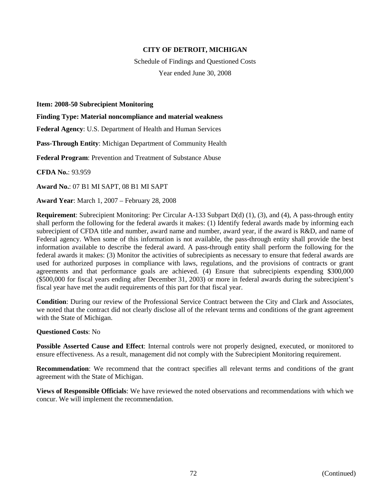Schedule of Findings and Questioned Costs Year ended June 30, 2008

**Item: 2008-50 Subrecipient Monitoring**

**Finding Type: Material noncompliance and material weakness**

**Federal Agency**: U.S. Department of Health and Human Services

**Pass-Through Entity**: Michigan Department of Community Health

**Federal Program**: Prevention and Treatment of Substance Abuse

**CFDA No.**: 93.959

**Award No.**: 07 B1 MI SAPT, 08 B1 MI SAPT

**Award Year**: March 1, 2007 – February 28, 2008

**Requirement**: Subrecipient Monitoring: Per Circular A-133 Subpart D(d) (1), (3), and (4), A pass-through entity shall perform the following for the federal awards it makes: (1) Identify federal awards made by informing each subrecipient of CFDA title and number, award name and number, award year, if the award is R&D, and name of Federal agency. When some of this information is not available, the pass-through entity shall provide the best information available to describe the federal award. A pass-through entity shall perform the following for the federal awards it makes: (3) Monitor the activities of subrecipients as necessary to ensure that federal awards are used for authorized purposes in compliance with laws, regulations, and the provisions of contracts or grant agreements and that performance goals are achieved. (4) Ensure that subrecipients expending \$300,000 (\$500,000 for fiscal years ending after December 31, 2003) or more in federal awards during the subrecipient's fiscal year have met the audit requirements of this part for that fiscal year.

**Condition**: During our review of the Professional Service Contract between the City and Clark and Associates, we noted that the contract did not clearly disclose all of the relevant terms and conditions of the grant agreement with the State of Michigan.

#### **Questioned Costs**: No

**Possible Asserted Cause and Effect**: Internal controls were not properly designed, executed, or monitored to ensure effectiveness. As a result, management did not comply with the Subrecipient Monitoring requirement.

**Recommendation**: We recommend that the contract specifies all relevant terms and conditions of the grant agreement with the State of Michigan.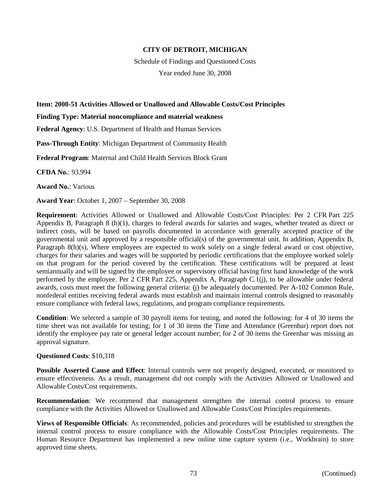Schedule of Findings and Questioned Costs Year ended June 30, 2008

### **Item: 2008-51 Activities Allowed or Unallowed and Allowable Costs/Cost Principles**

#### **Finding Type: Material noncompliance and material weakness**

**Federal Agency**: U.S. Department of Health and Human Services

**Pass-Through Entity**: Michigan Department of Community Health

**Federal Program**: Maternal and Child Health Services Block Grant

**CFDA No.**: 93.994

**Award No.**: Various

**Award Year**: October 1, 2007 – September 30, 2008

**Requirement**: Activities Allowed or Unallowed and Allowable Costs/Cost Principles: Per 2 CFR Part 225 Appendix B, Paragraph 8 (h)(1), charges to federal awards for salaries and wages, whether treated as direct or indirect costs, will be based on payrolls documented in accordance with generally accepted practice of the governmental unit and approved by a responsible official(s) of the governmental unit. In addition, Appendix B, Paragraph 8(h)(s), Where employees are expected to work solely on a single federal award or cost objective, charges for their salaries and wages will be supported by periodic certifications that the employee worked solely on that program for the period covered by the certification. These certifications will be prepared at least semiannually and will be signed by the employee or supervisory official having first hand knowledge of the work performed by the employee. Per 2 CFR Part 225, Appendix A, Paragraph C.1(j), to be allowable under federal awards, costs must meet the following general criteria: (j) be adequately documented. Per A-102 Common Rule, nonfederal entities receiving federal awards must establish and maintain internal controls designed to reasonably ensure compliance with federal laws, regulations, and program compliance requirements.

**Condition**: We selected a sample of 30 payroll items for testing, and noted the following: for 4 of 30 items the time sheet was not available for testing; for 1 of 30 items the Time and Attendance (Greenbar) report does not identify the employee pay rate or general ledger account number; for 2 of 30 items the Greenbar was missing an approval signature.

#### **Questioned Costs**: \$10,318

**Possible Asserted Cause and Effect**: Internal controls were not properly designed, executed, or monitored to ensure effectiveness. As a result, management did not comply with the Activities Allowed or Unallowed and Allowable Costs/Cost requirements.

**Recommendation**: We recommend that management strengthen the internal control process to ensure compliance with the Activities Allowed or Unallowed and Allowable Costs/Cost Principles requirements.

**Views of Responsible Officials**: As recommended, policies and procedures will be established to strengthen the internal control process to ensure compliance with the Allowable Costs/Cost Principles requirements. The Human Resource Department has implemented a new online time capture system (i.e., Workbrain) to store approved time sheets.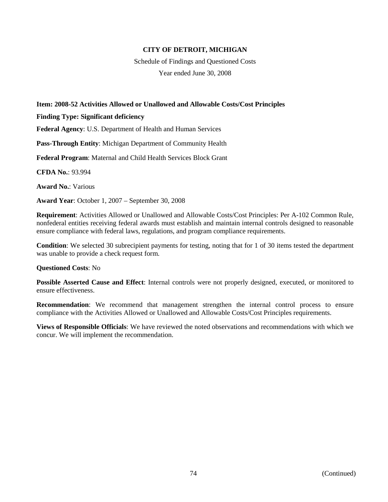Schedule of Findings and Questioned Costs Year ended June 30, 2008

# **Item: 2008-52 Activities Allowed or Unallowed and Allowable Costs/Cost Principles**

### **Finding Type: Significant deficiency**

**Federal Agency**: U.S. Department of Health and Human Services

**Pass-Through Entity**: Michigan Department of Community Health

**Federal Program**: Maternal and Child Health Services Block Grant

**CFDA No.**: 93.994

**Award No.**: Various

**Award Year**: October 1, 2007 – September 30, 2008

**Requirement**: Activities Allowed or Unallowed and Allowable Costs/Cost Principles: Per A-102 Common Rule, nonfederal entities receiving federal awards must establish and maintain internal controls designed to reasonable ensure compliance with federal laws, regulations, and program compliance requirements.

**Condition**: We selected 30 subrecipient payments for testing, noting that for 1 of 30 items tested the department was unable to provide a check request form.

## **Questioned Costs**: No

**Possible Asserted Cause and Effect**: Internal controls were not properly designed, executed, or monitored to ensure effectiveness.

**Recommendation**: We recommend that management strengthen the internal control process to ensure compliance with the Activities Allowed or Unallowed and Allowable Costs/Cost Principles requirements.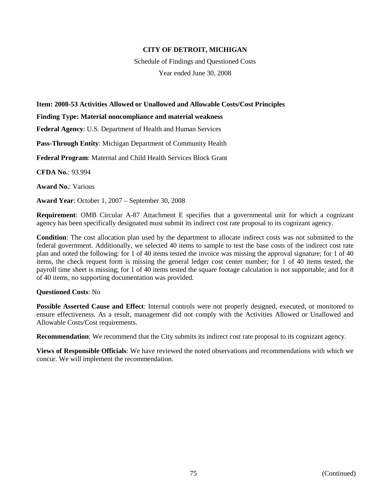Schedule of Findings and Questioned Costs Year ended June 30, 2008

## **Item: 2008-53 Activities Allowed or Unallowed and Allowable Costs/Cost Principles**

### **Finding Type: Material noncompliance and material weakness**

**Federal Agency**: U.S. Department of Health and Human Services

**Pass-Through Entity**: Michigan Department of Community Health

**Federal Program**: Maternal and Child Health Services Block Grant

**CFDA No.**: 93.994

**Award No.**: Various

**Award Year**: October 1, 2007 – September 30, 2008

**Requirement**: OMB Circular A-87 Attachment E specifies that a governmental unit for which a cognizant agency has been specifically designated must submit its indirect cost rate proposal to its cognizant agency.

**Condition**: The cost allocation plan used by the department to allocate indirect costs was not submitted to the federal government. Additionally, we selected 40 items to sample to test the base costs of the indirect cost rate plan and noted the following: for 1 of 40 items tested the invoice was missing the approval signature; for 1 of 40 items, the check request form is missing the general ledger cost center number; for 1 of 40 items tested, the payroll time sheet is missing; for 1 of 40 items tested the square footage calculation is not supportable; and for 8 of 40 items, no supporting documentation was provided.

## **Questioned Costs**: No

**Possible Asserted Cause and Effect**: Internal controls were not properly designed, executed, or monitored to ensure effectiveness. As a result, management did not comply with the Activities Allowed or Unallowed and Allowable Costs/Cost requirements.

**Recommendation:** We recommend that the City submits its indirect cost rate proposal to its cognizant agency.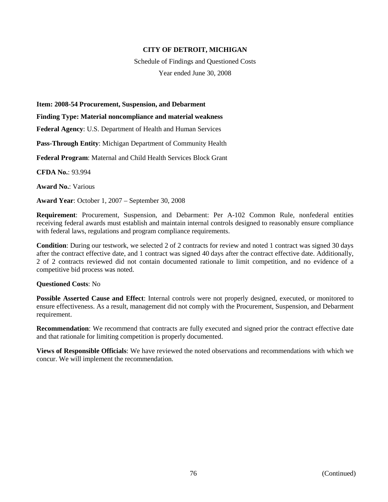Schedule of Findings and Questioned Costs Year ended June 30, 2008

#### **Item: 2008-54 Procurement, Suspension, and Debarment**

### **Finding Type: Material noncompliance and material weakness**

**Federal Agency**: U.S. Department of Health and Human Services

**Pass-Through Entity**: Michigan Department of Community Health

**Federal Program**: Maternal and Child Health Services Block Grant

**CFDA No.**: 93.994

**Award No.**: Various

**Award Year**: October 1, 2007 – September 30, 2008

**Requirement**: Procurement, Suspension, and Debarment: Per A-102 Common Rule, nonfederal entities receiving federal awards must establish and maintain internal controls designed to reasonably ensure compliance with federal laws, regulations and program compliance requirements.

**Condition**: During our testwork, we selected 2 of 2 contracts for review and noted 1 contract was signed 30 days after the contract effective date, and 1 contract was signed 40 days after the contract effective date. Additionally, 2 of 2 contracts reviewed did not contain documented rationale to limit competition, and no evidence of a competitive bid process was noted.

#### **Questioned Costs**: No

**Possible Asserted Cause and Effect**: Internal controls were not properly designed, executed, or monitored to ensure effectiveness. As a result, management did not comply with the Procurement, Suspension, and Debarment requirement.

**Recommendation**: We recommend that contracts are fully executed and signed prior the contract effective date and that rationale for limiting competition is properly documented.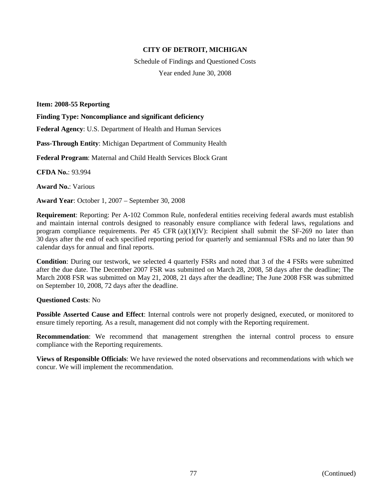Schedule of Findings and Questioned Costs Year ended June 30, 2008

**Item: 2008-55 Reporting**

**Finding Type: Noncompliance and significant deficiency**

**Federal Agency**: U.S. Department of Health and Human Services

**Pass-Through Entity**: Michigan Department of Community Health

**Federal Program**: Maternal and Child Health Services Block Grant

**CFDA No.**: 93.994

**Award No.**: Various

**Award Year**: October 1, 2007 – September 30, 2008

**Requirement**: Reporting: Per A-102 Common Rule, nonfederal entities receiving federal awards must establish and maintain internal controls designed to reasonably ensure compliance with federal laws, regulations and program compliance requirements. Per 45 CFR  $(a)(1)(IV)$ : Recipient shall submit the SF-269 no later than 30 days after the end of each specified reporting period for quarterly and semiannual FSRs and no later than 90 calendar days for annual and final reports.

**Condition**: During our testwork, we selected 4 quarterly FSRs and noted that 3 of the 4 FSRs were submitted after the due date. The December 2007 FSR was submitted on March 28, 2008, 58 days after the deadline; The March 2008 FSR was submitted on May 21, 2008, 21 days after the deadline; The June 2008 FSR was submitted on September 10, 2008, 72 days after the deadline.

#### **Questioned Costs**: No

**Possible Asserted Cause and Effect**: Internal controls were not properly designed, executed, or monitored to ensure timely reporting. As a result, management did not comply with the Reporting requirement.

**Recommendation**: We recommend that management strengthen the internal control process to ensure compliance with the Reporting requirements.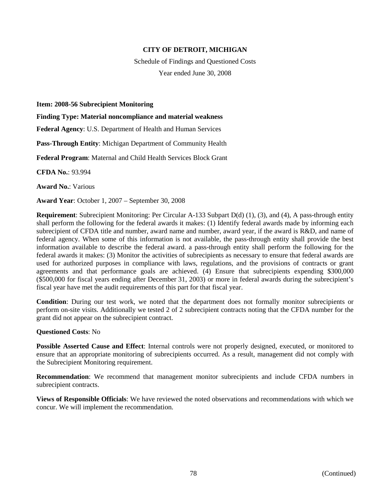Schedule of Findings and Questioned Costs Year ended June 30, 2008

**Item: 2008-56 Subrecipient Monitoring**

**Finding Type: Material noncompliance and material weakness**

**Federal Agency**: U.S. Department of Health and Human Services

**Pass-Through Entity**: Michigan Department of Community Health

**Federal Program**: Maternal and Child Health Services Block Grant

**CFDA No.**: 93.994

**Award No.**: Various

**Award Year**: October 1, 2007 – September 30, 2008

**Requirement**: Subrecipient Monitoring: Per Circular A-133 Subpart D(d) (1), (3), and (4), A pass-through entity shall perform the following for the federal awards it makes: (1) Identify federal awards made by informing each subrecipient of CFDA title and number, award name and number, award year, if the award is R&D, and name of federal agency. When some of this information is not available, the pass-through entity shall provide the best information available to describe the federal award. a pass-through entity shall perform the following for the federal awards it makes: (3) Monitor the activities of subrecipients as necessary to ensure that federal awards are used for authorized purposes in compliance with laws, regulations, and the provisions of contracts or grant agreements and that performance goals are achieved. (4) Ensure that subrecipients expending \$300,000 (\$500,000 for fiscal years ending after December 31, 2003) or more in federal awards during the subrecipient's fiscal year have met the audit requirements of this part for that fiscal year.

**Condition**: During our test work, we noted that the department does not formally monitor subrecipients or perform on-site visits. Additionally we tested 2 of 2 subrecipient contracts noting that the CFDA number for the grant did not appear on the subrecipient contract.

#### **Questioned Costs**: No

**Possible Asserted Cause and Effect**: Internal controls were not properly designed, executed, or monitored to ensure that an appropriate monitoring of subrecipients occurred. As a result, management did not comply with the Subrecipient Monitoring requirement.

**Recommendation**: We recommend that management monitor subrecipients and include CFDA numbers in subrecipient contracts.